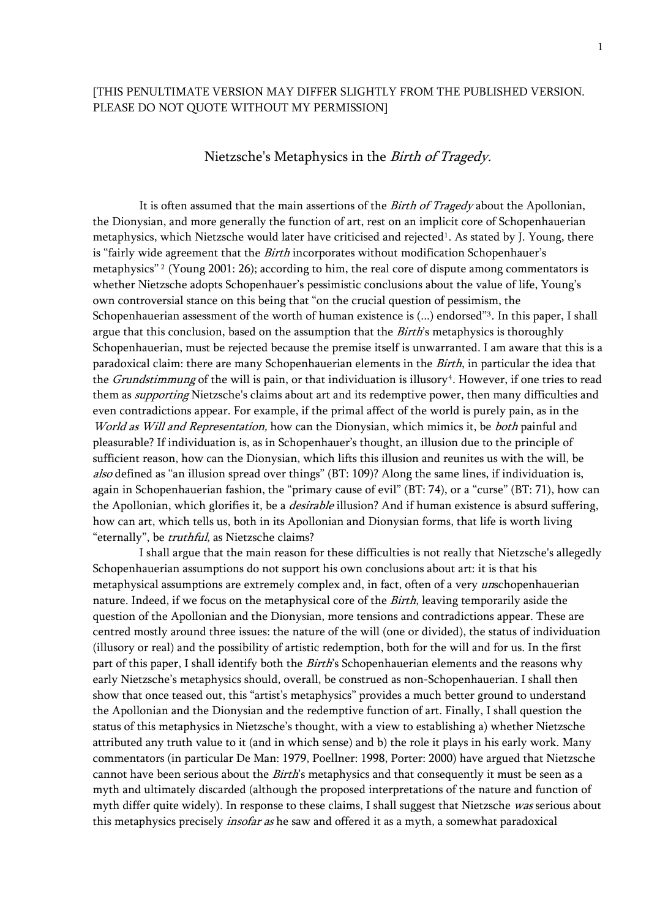## [THIS PENULTIMATE VERSION MAY DIFFER SLIGHTLY FROM THE PUBLISHED VERSION. PLEASE DO NOT QUOTE WITHOUT MY PERMISSION]

## Nietzsche's Metaphysics in the *Birth of Tragedy*.

 It is often assumed that the main assertions of the Birth of Tragedy about the Apollonian, the Dionysian, and more generally the function of art, rest on an implicit core of Schopenhauerian metaphysics, which Nietzsche would later have criticised and rejected<sup>[1](#page-23-0)</sup>. As stated by J. Young, there is "fairly wide agreement that the *Birth* incorporates without modification Schopenhauer's metaphysics"<sup>[2](#page-23-1)</sup> (Young 2001: 26); according to him, the real core of dispute among commentators is whether Nietzsche adopts Schopenhauer's pessimistic conclusions about the value of life, Young's own controversial stance on this being that "on the crucial question of pessimism, the Schopenhauerian assessment of the worth of human existence is (...) endorsed"[3](#page-23-1). In this paper, I shall argue that this conclusion, based on the assumption that the *Birth*'s metaphysics is thoroughly Schopenhauerian, must be rejected because the premise itself is unwarranted. I am aware that this is a paradoxical claim: there are many Schopenhauerian elements in the *Birth*, in particular the idea that the *Grundstimmung* of the will is pain, or that individuation is illusory<sup>[4](#page-23-1)</sup>. However, if one tries to read them as *supporting* Nietzsche's claims about art and its redemptive power, then many difficulties and even contradictions appear. For example, if the primal affect of the world is purely pain, as in the World as Will and Representation, how can the Dionysian, which mimics it, be both painful and pleasurable? If individuation is, as in Schopenhauer's thought, an illusion due to the principle of sufficient reason, how can the Dionysian, which lifts this illusion and reunites us with the will, be also defined as "an illusion spread over things" (BT: 109)? Along the same lines, if individuation is, again in Schopenhauerian fashion, the "primary cause of evil" (BT: 74), or a "curse" (BT: 71), how can the Apollonian, which glorifies it, be a *desirable* illusion? And if human existence is absurd suffering, how can art, which tells us, both in its Apollonian and Dionysian forms, that life is worth living "eternally", be truthful, as Nietzsche claims?

 I shall argue that the main reason for these difficulties is not really that Nietzsche's allegedly Schopenhauerian assumptions do not support his own conclusions about art: it is that his metaphysical assumptions are extremely complex and, in fact, often of a very *un*schopenhauerian nature. Indeed, if we focus on the metaphysical core of the Birth, leaving temporarily aside the question of the Apollonian and the Dionysian, more tensions and contradictions appear. These are centred mostly around three issues: the nature of the will (one or divided), the status of individuation (illusory or real) and the possibility of artistic redemption, both for the will and for us. In the first part of this paper, I shall identify both the *Birth's* Schopenhauerian elements and the reasons why early Nietzsche's metaphysics should, overall, be construed as non-Schopenhauerian. I shall then show that once teased out, this "artist's metaphysics" provides a much better ground to understand the Apollonian and the Dionysian and the redemptive function of art. Finally, I shall question the status of this metaphysics in Nietzsche's thought, with a view to establishing a) whether Nietzsche attributed any truth value to it (and in which sense) and b) the role it plays in his early work. Many commentators (in particular De Man: 1979, Poellner: 1998, Porter: 2000) have argued that Nietzsche cannot have been serious about the *Birth's* metaphysics and that consequently it must be seen as a myth and ultimately discarded (although the proposed interpretations of the nature and function of myth differ quite widely). In response to these claims, I shall suggest that Nietzsche was serious about this metaphysics precisely *insofar as* he saw and offered it as a myth, a somewhat paradoxical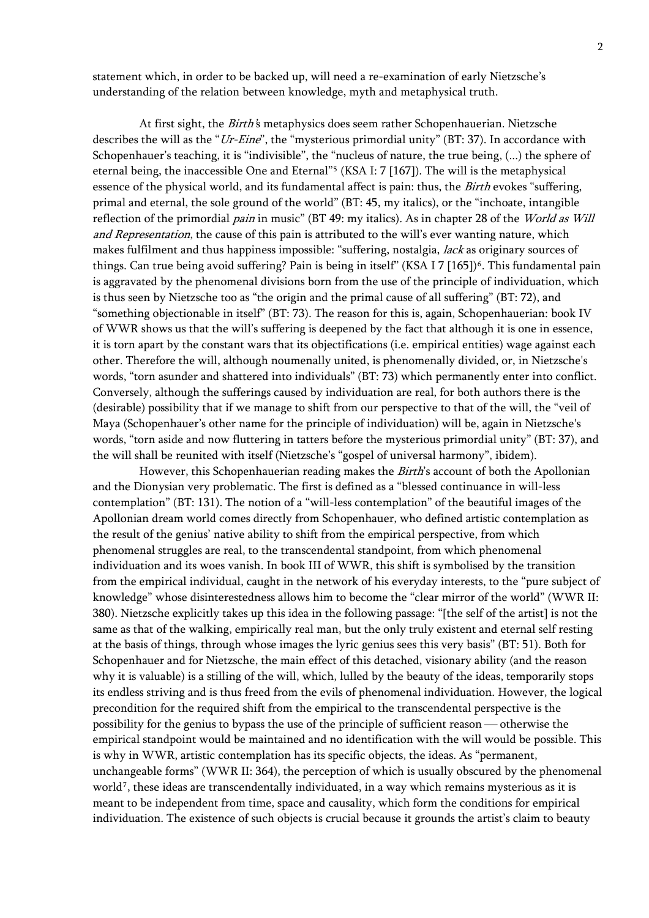statement which, in order to be backed up, will need a re-examination of early Nietzsche's understanding of the relation between knowledge, myth and metaphysical truth.

 At first sight, the Birth's metaphysics does seem rather Schopenhauerian. Nietzsche describes the will as the "Ur-Eine", the "mysterious primordial unity" (BT: 37). In accordance with Schopenhauer's teaching, it is "indivisible", the "nucleus of nature, the true being, (...) the sphere of eternal being, the inaccessible One and Eternal"<sup>[5](#page-23-1)</sup> (KSA I: 7 [167]). The will is the metaphysical essence of the physical world, and its fundamental affect is pain: thus, the *Birth* evokes "suffering, primal and eternal, the sole ground of the world" (BT: 45, my italics), or the "inchoate, intangible reflection of the primordial *pain* in music" (BT 49: my italics). As in chapter 28 of the *World as Will* and Representation, the cause of this pain is attributed to the will's ever wanting nature, which makes fulfilment and thus happiness impossible: "suffering, nostalgia, lack as originary sources of things. Can true being avoid suffering? Pain is being in itself" (KSA I 7 [1[6](#page-23-1)5])<sup>6</sup>. This fundamental pain is aggravated by the phenomenal divisions born from the use of the principle of individuation, which is thus seen by Nietzsche too as "the origin and the primal cause of all suffering" (BT: 72), and "something objectionable in itself" (BT: 73). The reason for this is, again, Schopenhauerian: book IV of WWR shows us that the will's suffering is deepened by the fact that although it is one in essence, it is torn apart by the constant wars that its objectifications (i.e. empirical entities) wage against each other. Therefore the will, although noumenally united, is phenomenally divided, or, in Nietzsche's words, "torn asunder and shattered into individuals" (BT: 73) which permanently enter into conflict. Conversely, although the sufferings caused by individuation are real, for both authors there is the (desirable) possibility that if we manage to shift from our perspective to that of the will, the "veil of Maya (Schopenhauer's other name for the principle of individuation) will be, again in Nietzsche's words, "torn aside and now fluttering in tatters before the mysterious primordial unity" (BT: 37), and the will shall be reunited with itself (Nietzsche's "gospel of universal harmony", ibidem).

However, this Schopenhauerian reading makes the *Birth's* account of both the Apollonian and the Dionysian very problematic. The first is defined as a "blessed continuance in will-less contemplation" (BT: 131). The notion of a "will-less contemplation" of the beautiful images of the Apollonian dream world comes directly from Schopenhauer, who defined artistic contemplation as the result of the genius' native ability to shift from the empirical perspective, from which phenomenal struggles are real, to the transcendental standpoint, from which phenomenal individuation and its woes vanish. In book III of WWR, this shift is symbolised by the transition from the empirical individual, caught in the network of his everyday interests, to the "pure subject of knowledge" whose disinterestedness allows him to become the "clear mirror of the world" (WWR II: 380). Nietzsche explicitly takes up this idea in the following passage: "[the self of the artist] is not the same as that of the walking, empirically real man, but the only truly existent and eternal self resting at the basis of things, through whose images the lyric genius sees this very basis" (BT: 51). Both for Schopenhauer and for Nietzsche, the main effect of this detached, visionary ability (and the reason why it is valuable) is a stilling of the will, which, lulled by the beauty of the ideas, temporarily stops its endless striving and is thus freed from the evils of phenomenal individuation. However, the logical precondition for the required shift from the empirical to the transcendental perspective is the possibility for the genius to bypass the use of the principle of sufficient reason — otherwise the empirical standpoint would be maintained and no identification with the will would be possible. This is why in WWR, artistic contemplation has its specific objects, the ideas. As "permanent, unchangeable forms" (WWR II: 364), the perception of which is usually obscured by the phenomenal world<sup>[7](#page-23-1)</sup>, these ideas are transcendentally individuated, in a way which remains mysterious as it is meant to be independent from time, space and causality, which form the conditions for empirical individuation. The existence of such objects is crucial because it grounds the artist's claim to beauty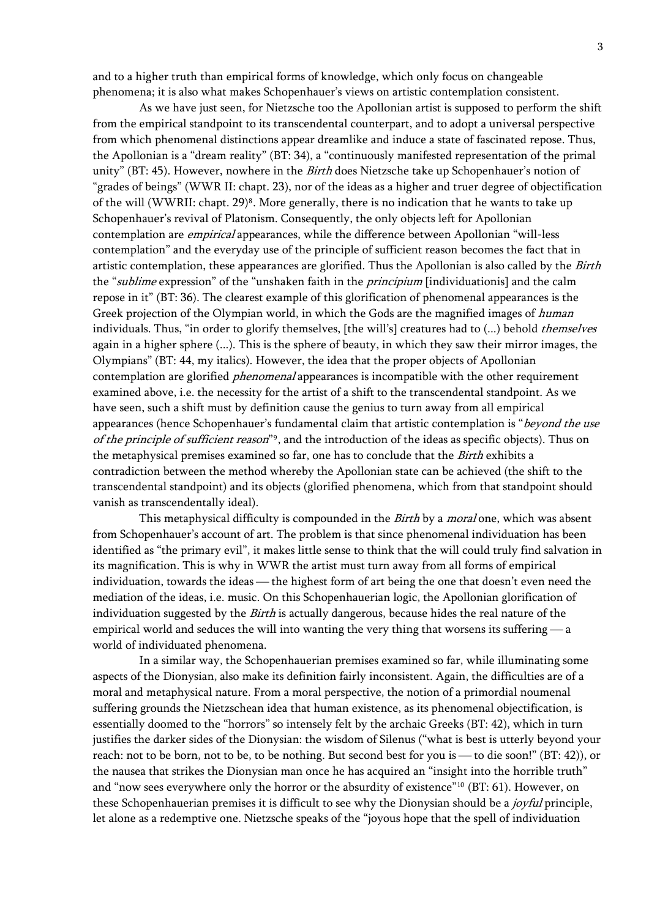and to a higher truth than empirical forms of knowledge, which only focus on changeable phenomena; it is also what makes Schopenhauer's views on artistic contemplation consistent.

 As we have just seen, for Nietzsche too the Apollonian artist is supposed to perform the shift from the empirical standpoint to its transcendental counterpart, and to adopt a universal perspective from which phenomenal distinctions appear dreamlike and induce a state of fascinated repose. Thus, the Apollonian is a "dream reality" (BT: 34), a "continuously manifested representation of the primal unity" (BT: 45). However, nowhere in the *Birth* does Nietzsche take up Schopenhauer's notion of "grades of beings" (WWR II: chapt. 23), nor of the ideas as a higher and truer degree of objectification of the will (WWRII: chapt. 29)<sup>[8](#page-23-1)</sup>. More generally, there is no indication that he wants to take up Schopenhauer's revival of Platonism. Consequently, the only objects left for Apollonian contemplation are empirical appearances, while the difference between Apollonian "will-less contemplation" and the everyday use of the principle of sufficient reason becomes the fact that in artistic contemplation, these appearances are glorified. Thus the Apollonian is also called by the *Birth* the "sublime expression" of the "unshaken faith in the *principium* [individuationis] and the calm repose in it" (BT: 36). The clearest example of this glorification of phenomenal appearances is the Greek projection of the Olympian world, in which the Gods are the magnified images of human individuals. Thus, "in order to glorify themselves, [the will's] creatures had to (...) behold *themselves* again in a higher sphere (...). This is the sphere of beauty, in which they saw their mirror images, the Olympians" (BT: 44, my italics). However, the idea that the proper objects of Apollonian contemplation are glorified *phenomenal* appearances is incompatible with the other requirement examined above, i.e. the necessity for the artist of a shift to the transcendental standpoint. As we have seen, such a shift must by definition cause the genius to turn away from all empirical appearances (hence Schopenhauer's fundamental claim that artistic contemplation is "beyond the use of the principle of sufficient reason<sup>"[9](#page-23-1)</sup>, and the introduction of the ideas as specific objects). Thus on the metaphysical premises examined so far, one has to conclude that the *Birth* exhibits a contradiction between the method whereby the Apollonian state can be achieved (the shift to the transcendental standpoint) and its objects (glorified phenomena, which from that standpoint should vanish as transcendentally ideal).

This metaphysical difficulty is compounded in the *Birth* by a *moral* one, which was absent from Schopenhauer's account of art. The problem is that since phenomenal individuation has been identified as "the primary evil", it makes little sense to think that the will could truly find salvation in its magnification. This is why in WWR the artist must turn away from all forms of empirical individuation, towards the ideas — the highest form of art being the one that doesn't even need the mediation of the ideas, i.e. music. On this Schopenhauerian logic, the Apollonian glorification of individuation suggested by the *Birth* is actually dangerous, because hides the real nature of the empirical world and seduces the will into wanting the very thing that worsens its suffering  $\frac{1}{a}$ world of individuated phenomena.

 In a similar way, the Schopenhauerian premises examined so far, while illuminating some aspects of the Dionysian, also make its definition fairly inconsistent. Again, the difficulties are of a moral and metaphysical nature. From a moral perspective, the notion of a primordial noumenal suffering grounds the Nietzschean idea that human existence, as its phenomenal objectification, is essentially doomed to the "horrors" so intensely felt by the archaic Greeks (BT: 42), which in turn justifies the darker sides of the Dionysian: the wisdom of Silenus ("what is best is utterly beyond your reach: not to be born, not to be, to be nothing. But second best for you is — to die soon!" (BT: 42)), or the nausea that strikes the Dionysian man once he has acquired an "insight into the horrible truth" and "now sees everywhere only the horror or the absurdity of existence"[10](#page-23-1) (BT: 61). However, on these Schopenhauerian premises it is difficult to see why the Dionysian should be a joyful principle, let alone as a redemptive one. Nietzsche speaks of the "joyous hope that the spell of individuation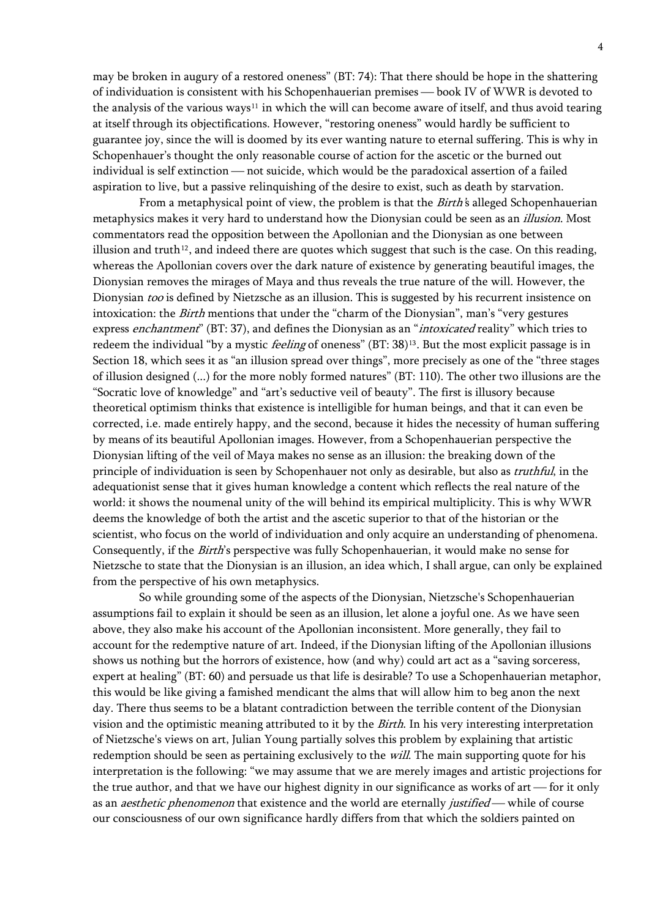may be broken in augury of a restored oneness" (BT: 74): That there should be hope in the shattering of individuation is consistent with his Schopenhauerian premises — book IV of WWR is devoted to the analysis of the various ways<sup>[11](#page-23-1)</sup> in which the will can become aware of itself, and thus avoid tearing at itself through its objectifications. However, "restoring oneness" would hardly be sufficient to guarantee joy, since the will is doomed by its ever wanting nature to eternal suffering. This is why in Schopenhauer's thought the only reasonable course of action for the ascetic or the burned out individual is self extinction — not suicide, which would be the paradoxical assertion of a failed aspiration to live, but a passive relinquishing of the desire to exist, such as death by starvation.

From a metaphysical point of view, the problem is that the *Birth's* alleged Schopenhauerian metaphysics makes it very hard to understand how the Dionysian could be seen as an *illusion*. Most commentators read the opposition between the Apollonian and the Dionysian as one between illusion and truth<sup>[12](#page-23-1)</sup>, and indeed there are quotes which suggest that such is the case. On this reading, whereas the Apollonian covers over the dark nature of existence by generating beautiful images, the Dionysian removes the mirages of Maya and thus reveals the true nature of the will. However, the Dionysian too is defined by Nietzsche as an illusion. This is suggested by his recurrent insistence on intoxication: the *Birth* mentions that under the "charm of the Dionysian", man's "very gestures express enchantment" (BT: 37), and defines the Dionysian as an "*intoxicated* reality" which tries to redeem the individual "by a mystic *feeling* of oneness" (BT: 38)<sup>[13](#page-23-1)</sup>. But the most explicit passage is in Section 18, which sees it as "an illusion spread over things", more precisely as one of the "three stages of illusion designed (...) for the more nobly formed natures" (BT: 110). The other two illusions are the "Socratic love of knowledge" and "art's seductive veil of beauty". The first is illusory because theoretical optimism thinks that existence is intelligible for human beings, and that it can even be corrected, i.e. made entirely happy, and the second, because it hides the necessity of human suffering by means of its beautiful Apollonian images. However, from a Schopenhauerian perspective the Dionysian lifting of the veil of Maya makes no sense as an illusion: the breaking down of the principle of individuation is seen by Schopenhauer not only as desirable, but also as *truthful*, in the adequationist sense that it gives human knowledge a content which reflects the real nature of the world: it shows the noumenal unity of the will behind its empirical multiplicity. This is why WWR deems the knowledge of both the artist and the ascetic superior to that of the historian or the scientist, who focus on the world of individuation and only acquire an understanding of phenomena. Consequently, if the *Birth's* perspective was fully Schopenhauerian, it would make no sense for Nietzsche to state that the Dionysian is an illusion, an idea which, I shall argue, can only be explained from the perspective of his own metaphysics.

 So while grounding some of the aspects of the Dionysian, Nietzsche's Schopenhauerian assumptions fail to explain it should be seen as an illusion, let alone a joyful one. As we have seen above, they also make his account of the Apollonian inconsistent. More generally, they fail to account for the redemptive nature of art. Indeed, if the Dionysian lifting of the Apollonian illusions shows us nothing but the horrors of existence, how (and why) could art act as a "saving sorceress, expert at healing" (BT: 60) and persuade us that life is desirable? To use a Schopenhauerian metaphor, this would be like giving a famished mendicant the alms that will allow him to beg anon the next day. There thus seems to be a blatant contradiction between the terrible content of the Dionysian vision and the optimistic meaning attributed to it by the *Birth*. In his very interesting interpretation of Nietzsche's views on art, Julian Young partially solves this problem by explaining that artistic redemption should be seen as pertaining exclusively to the *will*. The main supporting quote for his interpretation is the following: "we may assume that we are merely images and artistic projections for the true author, and that we have our highest dignity in our significance as works of art — for it only as an *aesthetic phenomenon* that existence and the world are eternally *justified* — while of course our consciousness of our own significance hardly differs from that which the soldiers painted on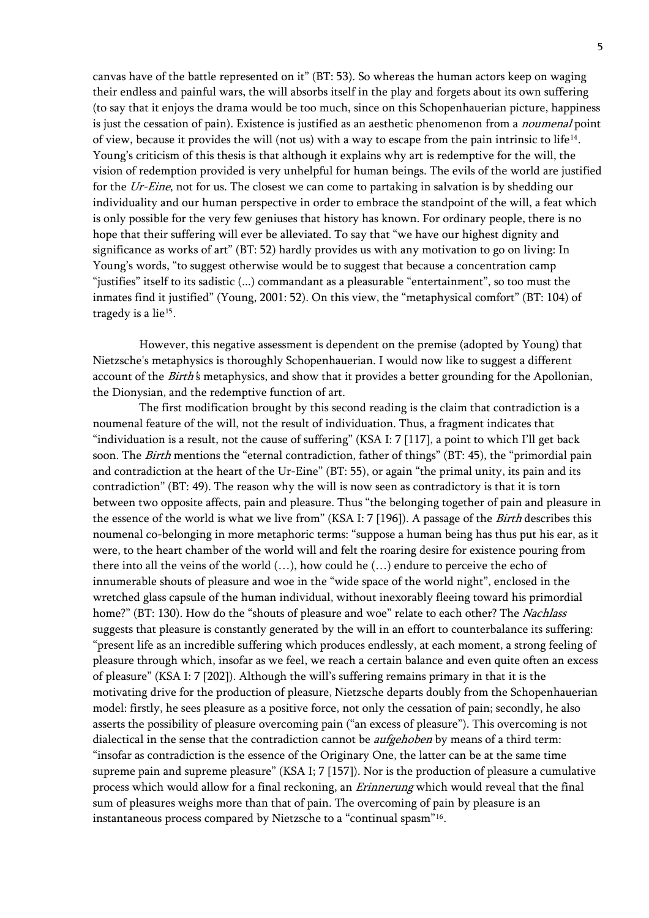canvas have of the battle represented on it" (BT: 53). So whereas the human actors keep on waging their endless and painful wars, the will absorbs itself in the play and forgets about its own suffering (to say that it enjoys the drama would be too much, since on this Schopenhauerian picture, happiness is just the cessation of pain). Existence is justified as an aesthetic phenomenon from a *noumenal* point of view, because it provides the will (not us) with a way to escape from the pain intrinsic to life[14](#page-23-1). Young's criticism of this thesis is that although it explains why art is redemptive for the will, the vision of redemption provided is very unhelpful for human beings. The evils of the world are justified for the Ur-Eine, not for us. The closest we can come to partaking in salvation is by shedding our individuality and our human perspective in order to embrace the standpoint of the will, a feat which is only possible for the very few geniuses that history has known. For ordinary people, there is no hope that their suffering will ever be alleviated. To say that "we have our highest dignity and significance as works of art" (BT: 52) hardly provides us with any motivation to go on living: In Young's words, "to suggest otherwise would be to suggest that because a concentration camp "justifies" itself to its sadistic (...) commandant as a pleasurable "entertainment", so too must the inmates find it justified" (Young, 2001: 52). On this view, the "metaphysical comfort" (BT: 104) of tragedy is a lie<sup>[15](#page-23-1)</sup>.

 However, this negative assessment is dependent on the premise (adopted by Young) that Nietzsche's metaphysics is thoroughly Schopenhauerian. I would now like to suggest a different account of the *Birth's* metaphysics, and show that it provides a better grounding for the Apollonian, the Dionysian, and the redemptive function of art.

 The first modification brought by this second reading is the claim that contradiction is a noumenal feature of the will, not the result of individuation. Thus, a fragment indicates that "individuation is a result, not the cause of suffering" (KSA I: 7 [117], a point to which I'll get back soon. The *Birth* mentions the "eternal contradiction, father of things" (BT: 45), the "primordial pain and contradiction at the heart of the Ur-Eine" (BT: 55), or again "the primal unity, its pain and its contradiction" (BT: 49). The reason why the will is now seen as contradictory is that it is torn between two opposite affects, pain and pleasure. Thus "the belonging together of pain and pleasure in the essence of the world is what we live from" (KSA I: 7 [196]). A passage of the Birth describes this noumenal co-belonging in more metaphoric terms: "suppose a human being has thus put his ear, as it were, to the heart chamber of the world will and felt the roaring desire for existence pouring from there into all the veins of the world (…), how could he (…) endure to perceive the echo of innumerable shouts of pleasure and woe in the "wide space of the world night", enclosed in the wretched glass capsule of the human individual, without inexorably fleeing toward his primordial home?" (BT: 130). How do the "shouts of pleasure and woe" relate to each other? The Nachlass suggests that pleasure is constantly generated by the will in an effort to counterbalance its suffering: "present life as an incredible suffering which produces endlessly, at each moment, a strong feeling of pleasure through which, insofar as we feel, we reach a certain balance and even quite often an excess of pleasure" (KSA I: 7 [202]). Although the will's suffering remains primary in that it is the motivating drive for the production of pleasure, Nietzsche departs doubly from the Schopenhauerian model: firstly, he sees pleasure as a positive force, not only the cessation of pain; secondly, he also asserts the possibility of pleasure overcoming pain ("an excess of pleasure"). This overcoming is not dialectical in the sense that the contradiction cannot be *aufgehoben* by means of a third term: "insofar as contradiction is the essence of the Originary One, the latter can be at the same time supreme pain and supreme pleasure" (KSA I; 7 [157]). Nor is the production of pleasure a cumulative process which would allow for a final reckoning, an *Erinnerung* which would reveal that the final sum of pleasures weighs more than that of pain. The overcoming of pain by pleasure is an instantaneous process compared by Nietzsche to a "continual spasm"[16](#page-23-1).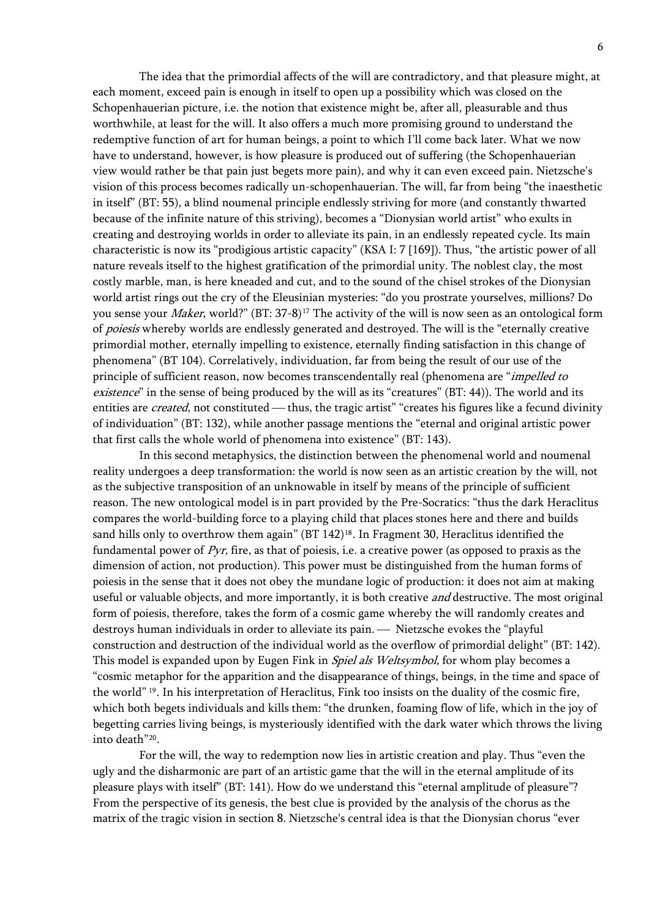The idea that the primordial affects of the will are contradictory, and that pleasure might, at each moment, exceed pain is enough in itself to open up a possibility which was closed on the Schopenhauerian picture, i.e. the notion that existence might be, after all, pleasurable and thus worthwhile, at least for the will. It also offers a much more promising ground to understand the redemptive function of art for human beings, a point to which I'll come back later. What we now have to understand, however, is how pleasure is produced out of suffering (the Schopenhauerian view would rather be that pain just begets more pain), and why it can even exceed pain. Nietzsche's vision of this process becomes radically un-schopenhauerian. The will, far from being "the inaesthetic in itself" (BT: 55), a blind noumenal principle endlessly striving for more (and constantly thwarted because of the infinite nature of this striving), becomes a "Dionysian world artist" who exults in creating and destroying worlds in order to alleviate its pain, in an endlessly repeated cycle. Its main characteristic is now its "prodigious artistic capacity" (KSA I: 7 [169]). Thus, "the artistic power of all nature reveals itself to the highest gratification of the primordial unity. The noblest clay, the most costly marble, man, is here kneaded and cut, and to the sound of the chisel strokes of the Dionysian world artist rings out the cry of the Eleusinian mysteries: "do you prostrate yourselves, millions? Do you sense your *Maker*, world?" (BT: 37-8)<sup>[17](#page-23-1)</sup> The activity of the will is now seen as an ontological form of *poiesis* whereby worlds are endlessly generated and destroyed. The will is the "eternally creative primordial mother, eternally impelling to existence, eternally finding satisfaction in this change of phenomena" (BT 104). Correlatively, individuation, far from being the result of our use of the principle of sufficient reason, now becomes transcendentally real (phenomena are "*impelled to* existence" in the sense of being produced by the will as its "creatures" (BT: 44)). The world and its entities are *created*, not constituted — thus, the tragic artist" "creates his figures like a fecund divinity of individuation" (BT: 132), while another passage mentions the "eternal and original artistic power that first calls the whole world of phenomena into existence" (BT: 143).

 In this second metaphysics, the distinction between the phenomenal world and noumenal reality undergoes a deep transformation: the world is now seen as an artistic creation by the will, not as the subjective transposition of an unknowable in itself by means of the principle of sufficient reason. The new ontological model is in part provided by the Pre-Socratics: "thus the dark Heraclitus compares the world-building force to a playing child that places stones here and there and builds sand hills only to overthrow them again" (BT 142)<sup>[18](#page-23-1)</sup>. In Fragment 30, Heraclitus identified the fundamental power of  $Pyr$ , fire, as that of poiesis, i.e. a creative power (as opposed to praxis as the dimension of action, not production). This power must be distinguished from the human forms of poiesis in the sense that it does not obey the mundane logic of production: it does not aim at making useful or valuable objects, and more importantly, it is both creative and destructive. The most original form of poiesis, therefore, takes the form of a cosmic game whereby the will randomly creates and destroys human individuals in order to alleviate its pain. — Nietzsche evokes the "playful construction and destruction of the individual world as the overflow of primordial delight" (BT: 142). This model is expanded upon by Eugen Fink in *Spiel als Weltsymbol*, for whom play becomes a "cosmic metaphor for the apparition and the disappearance of things, beings, in the time and space of the world" [19](#page-23-1). In his interpretation of Heraclitus, Fink too insists on the duality of the cosmic fire, which both begets individuals and kills them: "the drunken, foaming flow of life, which in the joy of begetting carries living beings, is mysteriously identified with the dark water which throws the living into death"[20](#page-23-1).

 For the will, the way to redemption now lies in artistic creation and play. Thus "even the ugly and the disharmonic are part of an artistic game that the will in the eternal amplitude of its pleasure plays with itself" (BT: 141). How do we understand this "eternal amplitude of pleasure"? From the perspective of its genesis, the best clue is provided by the analysis of the chorus as the matrix of the tragic vision in section 8. Nietzsche's central idea is that the Dionysian chorus "ever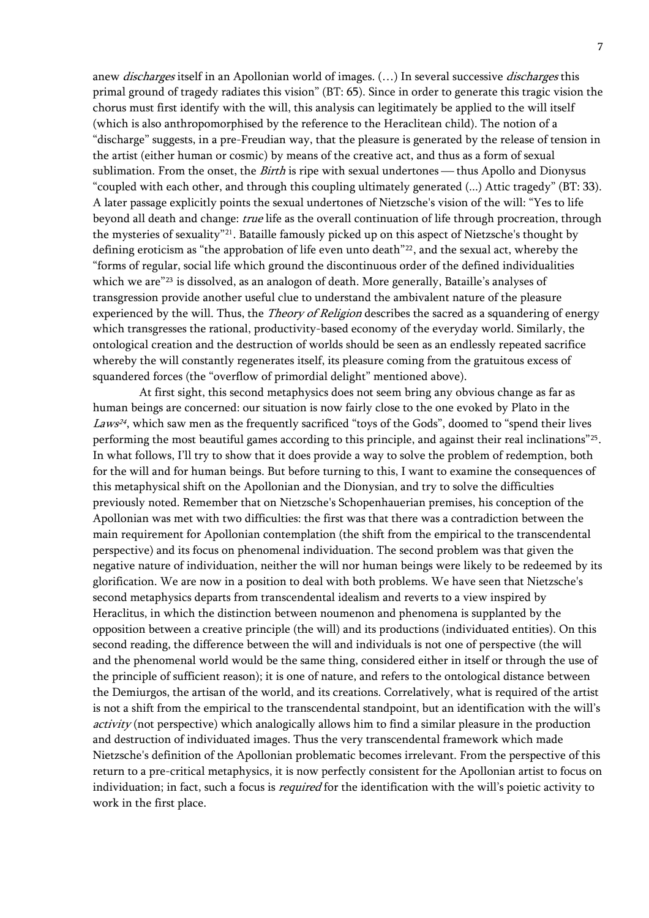anew *discharges* itself in an Apollonian world of images. (...) In several successive *discharges* this primal ground of tragedy radiates this vision" (BT: 65). Since in order to generate this tragic vision the chorus must first identify with the will, this analysis can legitimately be applied to the will itself (which is also anthropomorphised by the reference to the Heraclitean child). The notion of a "discharge" suggests, in a pre-Freudian way, that the pleasure is generated by the release of tension in the artist (either human or cosmic) by means of the creative act, and thus as a form of sexual sublimation. From the onset, the *Birth* is ripe with sexual undertones — thus Apollo and Dionysus "coupled with each other, and through this coupling ultimately generated (...) Attic tragedy" (BT: 33). A later passage explicitly points the sexual undertones of Nietzsche's vision of the will: "Yes to life beyond all death and change: true life as the overall continuation of life through procreation, through the mysteries of sexuality"[21](#page-23-1). Bataille famously picked up on this aspect of Nietzsche's thought by defining eroticism as "the approbation of life even unto death"<sup>[22](#page-23-1)</sup>, and the sexual act, whereby the "forms of regular, social life which ground the discontinuous order of the defined individualities which we are<sup>"[23](#page-23-1)</sup> is dissolved, as an analogon of death. More generally, Bataille's analyses of transgression provide another useful clue to understand the ambivalent nature of the pleasure experienced by the will. Thus, the *Theory of Religion* describes the sacred as a squandering of energy which transgresses the rational, productivity-based economy of the everyday world. Similarly, the ontological creation and the destruction of worlds should be seen as an endlessly repeated sacrifice whereby the will constantly regenerates itself, its pleasure coming from the gratuitous excess of squandered forces (the "overflow of primordial delight" mentioned above).

 At first sight, this second metaphysics does not seem bring any obvious change as far as human beings are concerned: our situation is now fairly close to the one evoked by Plato in the Laws<sup>[24](#page-23-1)</sup>, which saw men as the frequently sacrificed "toys of the Gods", doomed to "spend their lives performing the most beautiful games according to this principle, and against their real inclinations"[25](#page-23-1). In what follows, I'll try to show that it does provide a way to solve the problem of redemption, both for the will and for human beings. But before turning to this, I want to examine the consequences of this metaphysical shift on the Apollonian and the Dionysian, and try to solve the difficulties previously noted. Remember that on Nietzsche's Schopenhauerian premises, his conception of the Apollonian was met with two difficulties: the first was that there was a contradiction between the main requirement for Apollonian contemplation (the shift from the empirical to the transcendental perspective) and its focus on phenomenal individuation. The second problem was that given the negative nature of individuation, neither the will nor human beings were likely to be redeemed by its glorification. We are now in a position to deal with both problems. We have seen that Nietzsche's second metaphysics departs from transcendental idealism and reverts to a view inspired by Heraclitus, in which the distinction between noumenon and phenomena is supplanted by the opposition between a creative principle (the will) and its productions (individuated entities). On this second reading, the difference between the will and individuals is not one of perspective (the will and the phenomenal world would be the same thing, considered either in itself or through the use of the principle of sufficient reason); it is one of nature, and refers to the ontological distance between the Demiurgos, the artisan of the world, and its creations. Correlatively, what is required of the artist is not a shift from the empirical to the transcendental standpoint, but an identification with the will's activity (not perspective) which analogically allows him to find a similar pleasure in the production and destruction of individuated images. Thus the very transcendental framework which made Nietzsche's definition of the Apollonian problematic becomes irrelevant. From the perspective of this return to a pre-critical metaphysics, it is now perfectly consistent for the Apollonian artist to focus on individuation; in fact, such a focus is *required* for the identification with the will's poietic activity to work in the first place.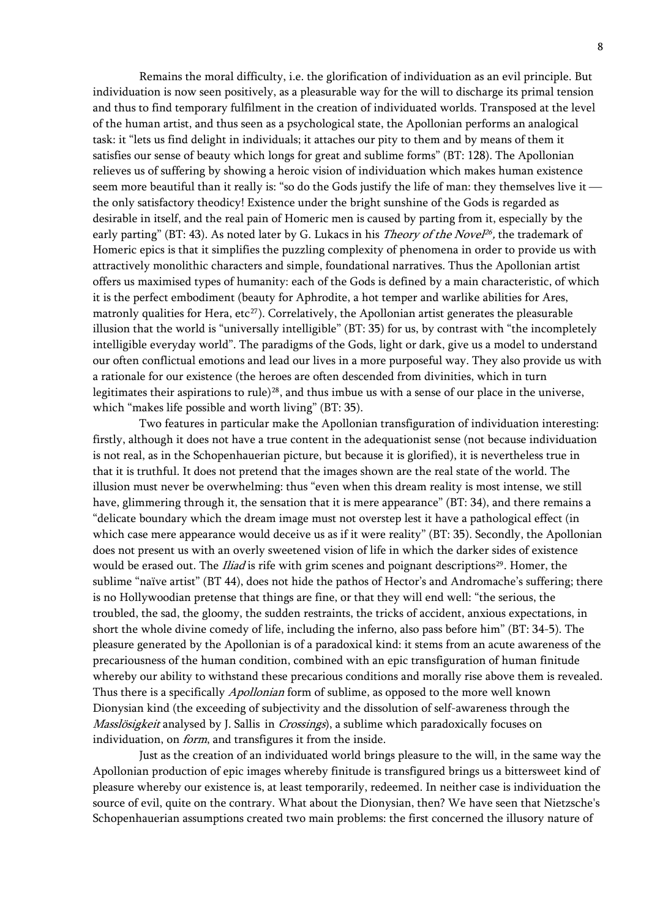Remains the moral difficulty, i.e. the glorification of individuation as an evil principle. But individuation is now seen positively, as a pleasurable way for the will to discharge its primal tension and thus to find temporary fulfilment in the creation of individuated worlds. Transposed at the level of the human artist, and thus seen as a psychological state, the Apollonian performs an analogical task: it "lets us find delight in individuals; it attaches our pity to them and by means of them it satisfies our sense of beauty which longs for great and sublime forms" (BT: 128). The Apollonian relieves us of suffering by showing a heroic vision of individuation which makes human existence seem more beautiful than it really is: "so do the Gods justify the life of man: they themselves live it  $$ the only satisfactory theodicy! Existence under the bright sunshine of the Gods is regarded as desirable in itself, and the real pain of Homeric men is caused by parting from it, especially by the early parting" (BT: 43). As noted later by G. Lukacs in his *Theory of the Novel<sup>[26](#page-23-1)</sup>*, the trademark of Homeric epics is that it simplifies the puzzling complexity of phenomena in order to provide us with attractively monolithic characters and simple, foundational narratives. Thus the Apollonian artist offers us maximised types of humanity: each of the Gods is defined by a main characteristic, of which it is the perfect embodiment (beauty for Aphrodite, a hot temper and warlike abilities for Ares, matronly qualities for Hera,  $etc^{27}$  $etc^{27}$  $etc^{27}$ ). Correlatively, the Apollonian artist generates the pleasurable illusion that the world is "universally intelligible" (BT: 35) for us, by contrast with "the incompletely intelligible everyday world". The paradigms of the Gods, light or dark, give us a model to understand our often conflictual emotions and lead our lives in a more purposeful way. They also provide us with a rationale for our existence (the heroes are often descended from divinities, which in turn legitimates their aspirations to rule)<sup>[28](#page-23-1)</sup>, and thus imbue us with a sense of our place in the universe, which "makes life possible and worth living" (BT: 35).

 Two features in particular make the Apollonian transfiguration of individuation interesting: firstly, although it does not have a true content in the adequationist sense (not because individuation is not real, as in the Schopenhauerian picture, but because it is glorified), it is nevertheless true in that it is truthful. It does not pretend that the images shown are the real state of the world. The illusion must never be overwhelming: thus "even when this dream reality is most intense, we still have, glimmering through it, the sensation that it is mere appearance" (BT: 34), and there remains a "delicate boundary which the dream image must not overstep lest it have a pathological effect (in which case mere appearance would deceive us as if it were reality" (BT: 35). Secondly, the Apollonian does not present us with an overly sweetened vision of life in which the darker sides of existence would be erased out. The *Iliad* is rife with grim scenes and poignant descriptions<sup>[29](#page-23-1)</sup>. Homer, the sublime "naïve artist" (BT 44), does not hide the pathos of Hector's and Andromache's suffering; there is no Hollywoodian pretense that things are fine, or that they will end well: "the serious, the troubled, the sad, the gloomy, the sudden restraints, the tricks of accident, anxious expectations, in short the whole divine comedy of life, including the inferno, also pass before him" (BT: 34-5). The pleasure generated by the Apollonian is of a paradoxical kind: it stems from an acute awareness of the precariousness of the human condition, combined with an epic transfiguration of human finitude whereby our ability to withstand these precarious conditions and morally rise above them is revealed. Thus there is a specifically *Apollonian* form of sublime, as opposed to the more well known Dionysian kind (the exceeding of subjectivity and the dissolution of self-awareness through the Masslösigkeit analysed by J. Sallis in *Crossings*), a sublime which paradoxically focuses on individuation, on *form*, and transfigures it from the inside.

 Just as the creation of an individuated world brings pleasure to the will, in the same way the Apollonian production of epic images whereby finitude is transfigured brings us a bittersweet kind of pleasure whereby our existence is, at least temporarily, redeemed. In neither case is individuation the source of evil, quite on the contrary. What about the Dionysian, then? We have seen that Nietzsche's Schopenhauerian assumptions created two main problems: the first concerned the illusory nature of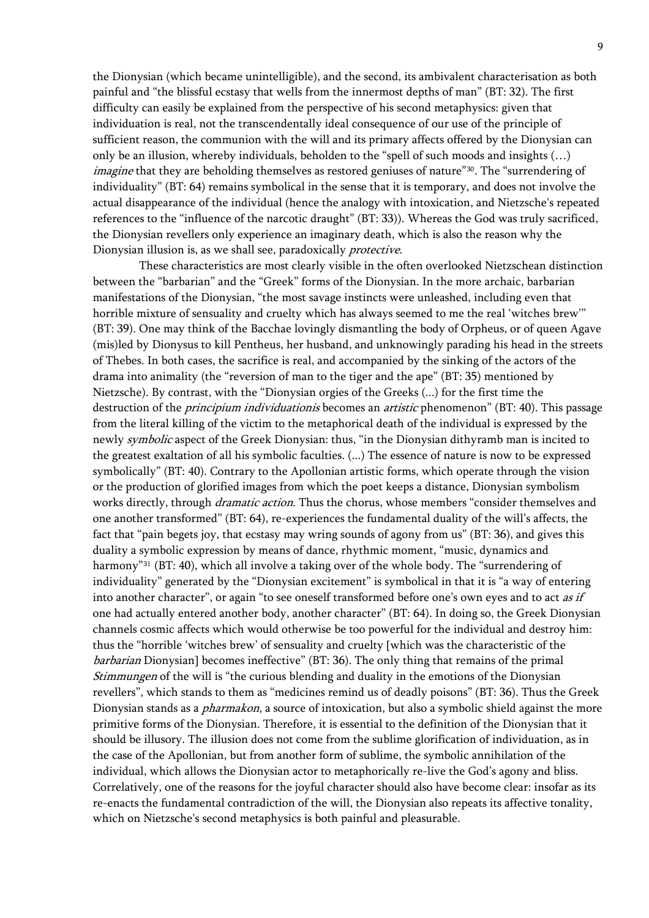the Dionysian (which became unintelligible), and the second, its ambivalent characterisation as both painful and "the blissful ecstasy that wells from the innermost depths of man" (BT: 32). The first difficulty can easily be explained from the perspective of his second metaphysics: given that individuation is real, not the transcendentally ideal consequence of our use of the principle of sufficient reason, the communion with the will and its primary affects offered by the Dionysian can only be an illusion, whereby individuals, beholden to the "spell of such moods and insights (…) *imagine* that they are beholding themselves as restored geniuses of nature"<sup>[30](#page-23-1)</sup>. The "surrendering of individuality" (BT: 64) remains symbolical in the sense that it is temporary, and does not involve the actual disappearance of the individual (hence the analogy with intoxication, and Nietzsche's repeated references to the "influence of the narcotic draught" (BT: 33)). Whereas the God was truly sacrificed, the Dionysian revellers only experience an imaginary death, which is also the reason why the Dionysian illusion is, as we shall see, paradoxically *protective*.

 These characteristics are most clearly visible in the often overlooked Nietzschean distinction between the "barbarian" and the "Greek" forms of the Dionysian. In the more archaic, barbarian manifestations of the Dionysian, "the most savage instincts were unleashed, including even that horrible mixture of sensuality and cruelty which has always seemed to me the real 'witches brew'" (BT: 39). One may think of the Bacchae lovingly dismantling the body of Orpheus, or of queen Agave (mis)led by Dionysus to kill Pentheus, her husband, and unknowingly parading his head in the streets of Thebes. In both cases, the sacrifice is real, and accompanied by the sinking of the actors of the drama into animality (the "reversion of man to the tiger and the ape" (BT: 35) mentioned by Nietzsche). By contrast, with the "Dionysian orgies of the Greeks (...) for the first time the destruction of the *principium individuationis* becomes an *artistic* phenomenon" (BT: 40). This passage from the literal killing of the victim to the metaphorical death of the individual is expressed by the newly symbolic aspect of the Greek Dionysian: thus, "in the Dionysian dithyramb man is incited to the greatest exaltation of all his symbolic faculties. (...) The essence of nature is now to be expressed symbolically" (BT: 40). Contrary to the Apollonian artistic forms, which operate through the vision or the production of glorified images from which the poet keeps a distance, Dionysian symbolism works directly, through *dramatic action*. Thus the chorus, whose members "consider themselves and one another transformed" (BT: 64), re-experiences the fundamental duality of the will's affects, the fact that "pain begets joy, that ecstasy may wring sounds of agony from us" (BT: 36), and gives this duality a symbolic expression by means of dance, rhythmic moment, "music, dynamics and harmony"<sup>[31](#page-23-1)</sup> (BT: 40), which all involve a taking over of the whole body. The "surrendering of individuality" generated by the "Dionysian excitement" is symbolical in that it is "a way of entering into another character", or again "to see oneself transformed before one's own eyes and to act as if one had actually entered another body, another character" (BT: 64). In doing so, the Greek Dionysian channels cosmic affects which would otherwise be too powerful for the individual and destroy him: thus the "horrible 'witches brew' of sensuality and cruelty [which was the characteristic of the barbarian Dionysian] becomes ineffective" (BT: 36). The only thing that remains of the primal Stimmungen of the will is "the curious blending and duality in the emotions of the Dionysian revellers", which stands to them as "medicines remind us of deadly poisons" (BT: 36). Thus the Greek Dionysian stands as a *pharmakon*, a source of intoxication, but also a symbolic shield against the more primitive forms of the Dionysian. Therefore, it is essential to the definition of the Dionysian that it should be illusory. The illusion does not come from the sublime glorification of individuation, as in the case of the Apollonian, but from another form of sublime, the symbolic annihilation of the individual, which allows the Dionysian actor to metaphorically re-live the God's agony and bliss. Correlatively, one of the reasons for the joyful character should also have become clear: insofar as its re-enacts the fundamental contradiction of the will, the Dionysian also repeats its affective tonality, which on Nietzsche's second metaphysics is both painful and pleasurable.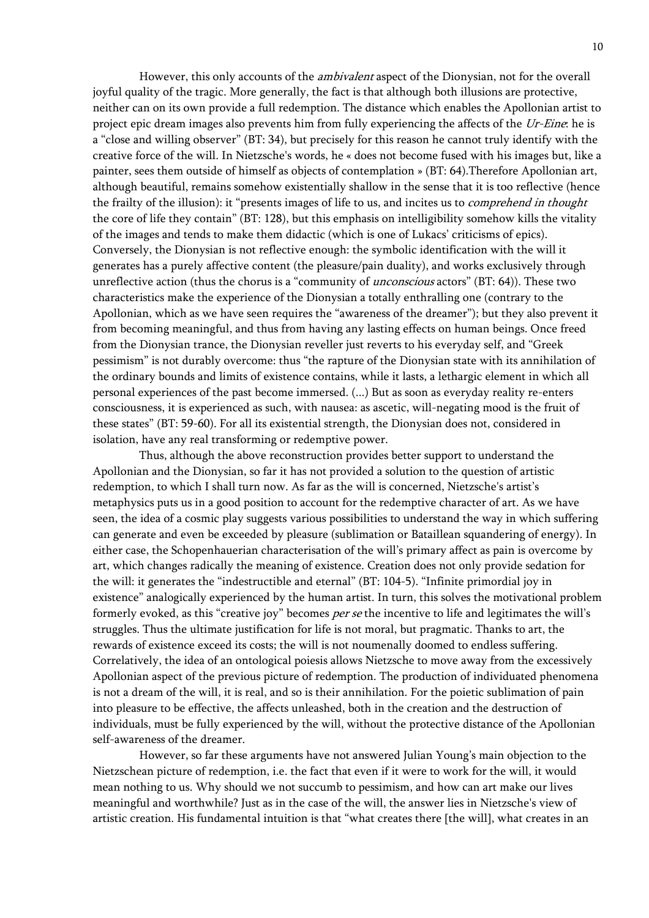However, this only accounts of the *ambivalent* aspect of the Dionysian, not for the overall joyful quality of the tragic. More generally, the fact is that although both illusions are protective, neither can on its own provide a full redemption. The distance which enables the Apollonian artist to project epic dream images also prevents him from fully experiencing the affects of the Ur-Eine: he is a "close and willing observer" (BT: 34), but precisely for this reason he cannot truly identify with the creative force of the will. In Nietzsche's words, he « does not become fused with his images but, like a painter, sees them outside of himself as objects of contemplation » (BT: 64).Therefore Apollonian art, although beautiful, remains somehow existentially shallow in the sense that it is too reflective (hence the frailty of the illusion): it "presents images of life to us, and incites us to *comprehend in thought* the core of life they contain" (BT: 128), but this emphasis on intelligibility somehow kills the vitality of the images and tends to make them didactic (which is one of Lukacs' criticisms of epics). Conversely, the Dionysian is not reflective enough: the symbolic identification with the will it generates has a purely affective content (the pleasure/pain duality), and works exclusively through unreflective action (thus the chorus is a "community of *unconscious* actors" (BT: 64)). These two characteristics make the experience of the Dionysian a totally enthralling one (contrary to the Apollonian, which as we have seen requires the "awareness of the dreamer"); but they also prevent it from becoming meaningful, and thus from having any lasting effects on human beings. Once freed from the Dionysian trance, the Dionysian reveller just reverts to his everyday self, and "Greek pessimism" is not durably overcome: thus "the rapture of the Dionysian state with its annihilation of the ordinary bounds and limits of existence contains, while it lasts, a lethargic element in which all personal experiences of the past become immersed. (...) But as soon as everyday reality re-enters consciousness, it is experienced as such, with nausea: as ascetic, will-negating mood is the fruit of these states" (BT: 59-60). For all its existential strength, the Dionysian does not, considered in isolation, have any real transforming or redemptive power.

 Thus, although the above reconstruction provides better support to understand the Apollonian and the Dionysian, so far it has not provided a solution to the question of artistic redemption, to which I shall turn now. As far as the will is concerned, Nietzsche's artist's metaphysics puts us in a good position to account for the redemptive character of art. As we have seen, the idea of a cosmic play suggests various possibilities to understand the way in which suffering can generate and even be exceeded by pleasure (sublimation or Bataillean squandering of energy). In either case, the Schopenhauerian characterisation of the will's primary affect as pain is overcome by art, which changes radically the meaning of existence. Creation does not only provide sedation for the will: it generates the "indestructible and eternal" (BT: 104-5). "Infinite primordial joy in existence" analogically experienced by the human artist. In turn, this solves the motivational problem formerly evoked, as this "creative joy" becomes *per se* the incentive to life and legitimates the will's struggles. Thus the ultimate justification for life is not moral, but pragmatic. Thanks to art, the rewards of existence exceed its costs; the will is not noumenally doomed to endless suffering. Correlatively, the idea of an ontological poiesis allows Nietzsche to move away from the excessively Apollonian aspect of the previous picture of redemption. The production of individuated phenomena is not a dream of the will, it is real, and so is their annihilation. For the poietic sublimation of pain into pleasure to be effective, the affects unleashed, both in the creation and the destruction of individuals, must be fully experienced by the will, without the protective distance of the Apollonian self-awareness of the dreamer.

 However, so far these arguments have not answered Julian Young's main objection to the Nietzschean picture of redemption, i.e. the fact that even if it were to work for the will, it would mean nothing to us. Why should we not succumb to pessimism, and how can art make our lives meaningful and worthwhile? Just as in the case of the will, the answer lies in Nietzsche's view of artistic creation. His fundamental intuition is that "what creates there [the will], what creates in an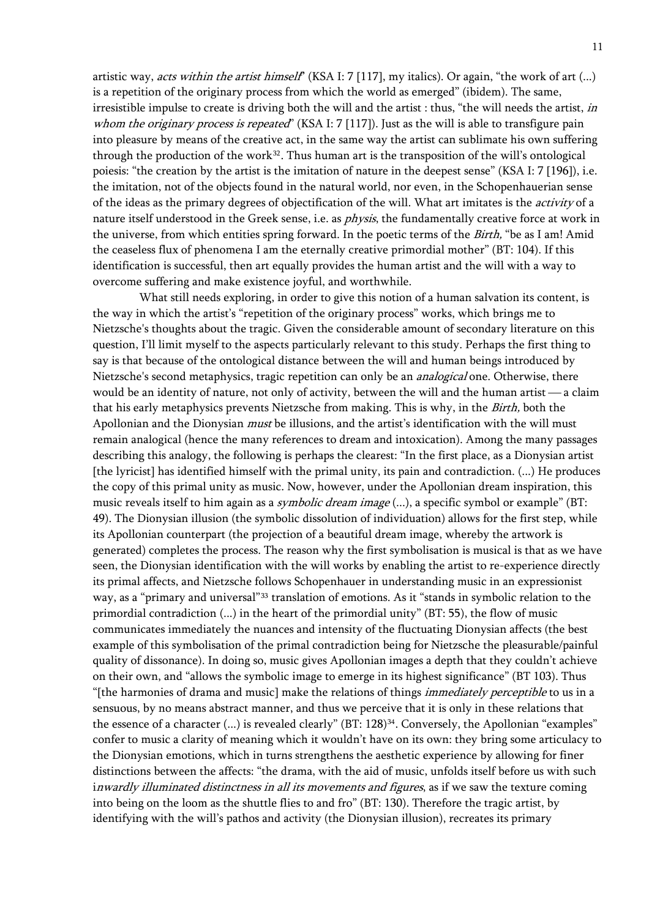artistic way, *acts within the artist himself*" (KSA I: 7 [117], my italics). Or again, "the work of art  $(...)$ is a repetition of the originary process from which the world as emerged" (ibidem). The same, irresistible impulse to create is driving both the will and the artist : thus, "the will needs the artist, in whom the originary process is repeated" (KSA I:  $7$  [117]). Just as the will is able to transfigure pain into pleasure by means of the creative act, in the same way the artist can sublimate his own suffering through the production of the work $32$ . Thus human art is the transposition of the will's ontological poiesis: "the creation by the artist is the imitation of nature in the deepest sense" (KSA I: 7 [196]), i.e. the imitation, not of the objects found in the natural world, nor even, in the Schopenhauerian sense of the ideas as the primary degrees of objectification of the will. What art imitates is the *activity* of a nature itself understood in the Greek sense, i.e. as *physis*, the fundamentally creative force at work in the universe, from which entities spring forward. In the poetic terms of the *Birth*, "be as I am! Amid the ceaseless flux of phenomena I am the eternally creative primordial mother" (BT: 104). If this identification is successful, then art equally provides the human artist and the will with a way to overcome suffering and make existence joyful, and worthwhile.

 What still needs exploring, in order to give this notion of a human salvation its content, is the way in which the artist's "repetition of the originary process" works, which brings me to Nietzsche's thoughts about the tragic. Given the considerable amount of secondary literature on this question, I'll limit myself to the aspects particularly relevant to this study. Perhaps the first thing to say is that because of the ontological distance between the will and human beings introduced by Nietzsche's second metaphysics, tragic repetition can only be an *analogical* one. Otherwise, there would be an identity of nature, not only of activity, between the will and the human artist — a claim that his early metaphysics prevents Nietzsche from making. This is why, in the *Birth*, both the Apollonian and the Dionysian must be illusions, and the artist's identification with the will must remain analogical (hence the many references to dream and intoxication). Among the many passages describing this analogy, the following is perhaps the clearest: "In the first place, as a Dionysian artist [the lyricist] has identified himself with the primal unity, its pain and contradiction. (...) He produces the copy of this primal unity as music. Now, however, under the Apollonian dream inspiration, this music reveals itself to him again as a *symbolic dream image* (...), a specific symbol or example" (BT: 49). The Dionysian illusion (the symbolic dissolution of individuation) allows for the first step, while its Apollonian counterpart (the projection of a beautiful dream image, whereby the artwork is generated) completes the process. The reason why the first symbolisation is musical is that as we have seen, the Dionysian identification with the will works by enabling the artist to re-experience directly its primal affects, and Nietzsche follows Schopenhauer in understanding music in an expressionist way, as a "primary and universal"[33](#page-23-1) translation of emotions. As it "stands in symbolic relation to the primordial contradiction (...) in the heart of the primordial unity" (BT: 55), the flow of music communicates immediately the nuances and intensity of the fluctuating Dionysian affects (the best example of this symbolisation of the primal contradiction being for Nietzsche the pleasurable/painful quality of dissonance). In doing so, music gives Apollonian images a depth that they couldn't achieve on their own, and "allows the symbolic image to emerge in its highest significance" (BT 103). Thus "[the harmonies of drama and music] make the relations of things *immediately perceptible* to us in a sensuous, by no means abstract manner, and thus we perceive that it is only in these relations that the essence of a character (...) is revealed clearly" (BT: 128)<sup>[34](#page-23-1)</sup>. Conversely, the Apollonian "examples" confer to music a clarity of meaning which it wouldn't have on its own: they bring some articulacy to the Dionysian emotions, which in turns strengthens the aesthetic experience by allowing for finer distinctions between the affects: "the drama, with the aid of music, unfolds itself before us with such inwardly illuminated distinctness in all its movements and figures, as if we saw the texture coming into being on the loom as the shuttle flies to and fro" (BT: 130). Therefore the tragic artist, by identifying with the will's pathos and activity (the Dionysian illusion), recreates its primary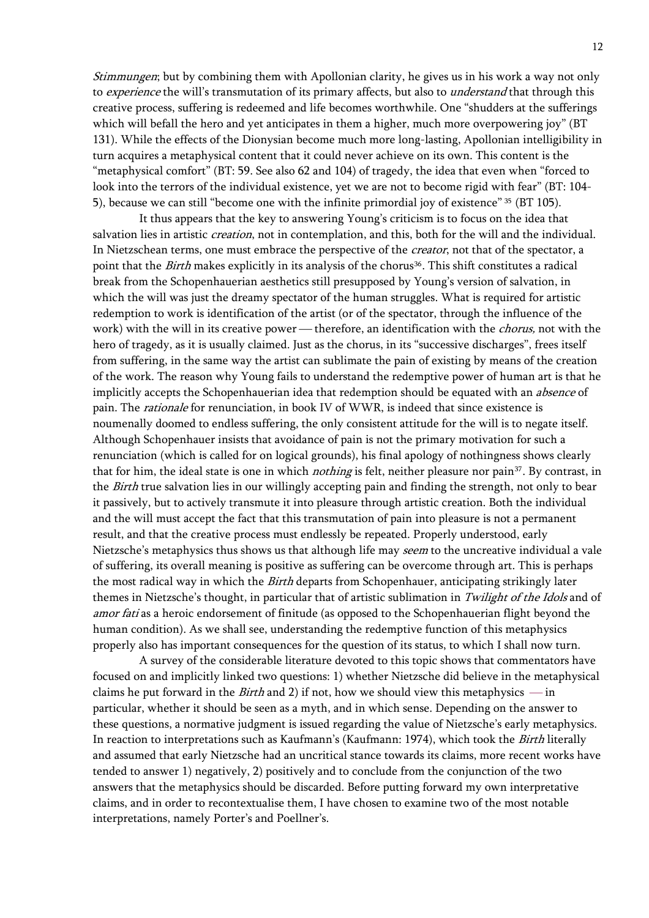Stimmungen; but by combining them with Apollonian clarity, he gives us in his work a way not only to *experience* the will's transmutation of its primary affects, but also to *understand* that through this creative process, suffering is redeemed and life becomes worthwhile. One "shudders at the sufferings which will befall the hero and yet anticipates in them a higher, much more overpowering joy" (BT) 131). While the effects of the Dionysian become much more long-lasting, Apollonian intelligibility in turn acquires a metaphysical content that it could never achieve on its own. This content is the "metaphysical comfort" (BT: 59. See also 62 and 104) of tragedy, the idea that even when "forced to look into the terrors of the individual existence, yet we are not to become rigid with fear" (BT: 104- 5), because we can still "become one with the infinite primordial joy of existence" [35](#page-23-1) (BT 105).

 It thus appears that the key to answering Young's criticism is to focus on the idea that salvation lies in artistic *creation*, not in contemplation, and this, both for the will and the individual. In Nietzschean terms, one must embrace the perspective of the *creator*, not that of the spectator, a point that the *Birth* makes explicitly in its analysis of the chorus<sup>[36](#page-23-1)</sup>. This shift constitutes a radical break from the Schopenhauerian aesthetics still presupposed by Young's version of salvation, in which the will was just the dreamy spectator of the human struggles. What is required for artistic redemption to work is identification of the artist (or of the spectator, through the influence of the work) with the will in its creative power — therefore, an identification with the *chorus*, not with the hero of tragedy, as it is usually claimed. Just as the chorus, in its "successive discharges", frees itself from suffering, in the same way the artist can sublimate the pain of existing by means of the creation of the work. The reason why Young fails to understand the redemptive power of human art is that he implicitly accepts the Schopenhauerian idea that redemption should be equated with an *absence* of pain. The rationale for renunciation, in book IV of WWR, is indeed that since existence is noumenally doomed to endless suffering, the only consistent attitude for the will is to negate itself. Although Schopenhauer insists that avoidance of pain is not the primary motivation for such a renunciation (which is called for on logical grounds), his final apology of nothingness shows clearly that for him, the ideal state is one in which *nothing* is felt, neither pleasure nor pain<sup>[37](#page-23-1)</sup>. By contrast, in the *Birth* true salvation lies in our willingly accepting pain and finding the strength, not only to bear it passively, but to actively transmute it into pleasure through artistic creation. Both the individual and the will must accept the fact that this transmutation of pain into pleasure is not a permanent result, and that the creative process must endlessly be repeated. Properly understood, early Nietzsche's metaphysics thus shows us that although life may seem to the uncreative individual a vale of suffering, its overall meaning is positive as suffering can be overcome through art. This is perhaps the most radical way in which the *Birth* departs from Schopenhauer, anticipating strikingly later themes in Nietzsche's thought, in particular that of artistic sublimation in Twilight of the Idols and of amor fati as a heroic endorsement of finitude (as opposed to the Schopenhauerian flight beyond the human condition). As we shall see, understanding the redemptive function of this metaphysics properly also has important consequences for the question of its status, to which I shall now turn.

 A survey of the considerable literature devoted to this topic shows that commentators have focused on and implicitly linked two questions: 1) whether Nietzsche did believe in the metaphysical claims he put forward in the *Birth* and 2) if not, how we should view this metaphysics  $\frac{1}{\sqrt{2}}$ particular, whether it should be seen as a myth, and in which sense. Depending on the answer to these questions, a normative judgment is issued regarding the value of Nietzsche's early metaphysics. In reaction to interpretations such as Kaufmann's (Kaufmann: 1974), which took the Birth literally and assumed that early Nietzsche had an uncritical stance towards its claims, more recent works have tended to answer 1) negatively, 2) positively and to conclude from the conjunction of the two answers that the metaphysics should be discarded. Before putting forward my own interpretative claims, and in order to recontextualise them, I have chosen to examine two of the most notable interpretations, namely Porter's and Poellner's.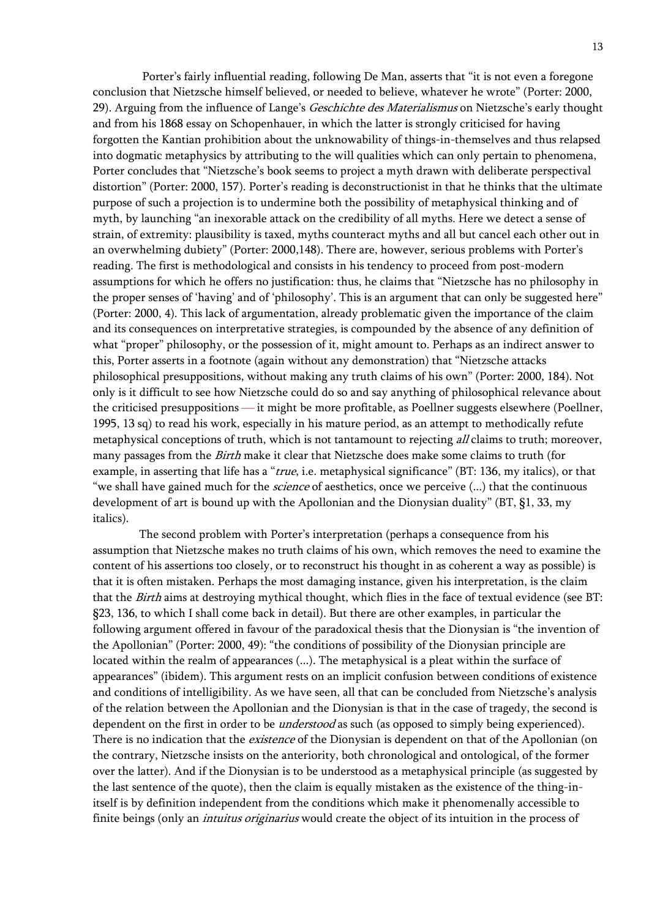Porter's fairly influential reading, following De Man, asserts that "it is not even a foregone conclusion that Nietzsche himself believed, or needed to believe, whatever he wrote" (Porter: 2000, 29). Arguing from the influence of Lange's Geschichte des Materialismus on Nietzsche's early thought and from his 1868 essay on Schopenhauer, in which the latter is strongly criticised for having forgotten the Kantian prohibition about the unknowability of things-in-themselves and thus relapsed into dogmatic metaphysics by attributing to the will qualities which can only pertain to phenomena, Porter concludes that "Nietzsche's book seems to project a myth drawn with deliberate perspectival distortion" (Porter: 2000, 157). Porter's reading is deconstructionist in that he thinks that the ultimate purpose of such a projection is to undermine both the possibility of metaphysical thinking and of myth, by launching "an inexorable attack on the credibility of all myths. Here we detect a sense of strain, of extremity: plausibility is taxed, myths counteract myths and all but cancel each other out in an overwhelming dubiety" (Porter: 2000,148). There are, however, serious problems with Porter's reading. The first is methodological and consists in his tendency to proceed from post-modern assumptions for which he offers no justification: thus, he claims that "Nietzsche has no philosophy in the proper senses of 'having' and of 'philosophy'. This is an argument that can only be suggested here" (Porter: 2000, 4). This lack of argumentation, already problematic given the importance of the claim and its consequences on interpretative strategies, is compounded by the absence of any definition of what "proper" philosophy, or the possession of it, might amount to. Perhaps as an indirect answer to this, Porter asserts in a footnote (again without any demonstration) that "Nietzsche attacks philosophical presuppositions, without making any truth claims of his own" (Porter: 2000, 184). Not only is it difficult to see how Nietzsche could do so and say anything of philosophical relevance about the criticised presuppositions — it might be more profitable, as Poellner suggests elsewhere (Poellner, 1995, 13 sq) to read his work, especially in his mature period, as an attempt to methodically refute metaphysical conceptions of truth, which is not tantamount to rejecting *all* claims to truth; moreover, many passages from the *Birth* make it clear that Nietzsche does make some claims to truth (for example, in asserting that life has a "*true*, i.e. metaphysical significance" (BT: 136, my italics), or that "we shall have gained much for the *science* of aesthetics, once we perceive (...) that the continuous development of art is bound up with the Apollonian and the Dionysian duality" (BT, §1, 33, my italics).

 The second problem with Porter's interpretation (perhaps a consequence from his assumption that Nietzsche makes no truth claims of his own, which removes the need to examine the content of his assertions too closely, or to reconstruct his thought in as coherent a way as possible) is that it is often mistaken. Perhaps the most damaging instance, given his interpretation, is the claim that the Birth aims at destroying mythical thought, which flies in the face of textual evidence (see BT: §23, 136, to which I shall come back in detail). But there are other examples, in particular the following argument offered in favour of the paradoxical thesis that the Dionysian is "the invention of the Apollonian" (Porter: 2000, 49): "the conditions of possibility of the Dionysian principle are located within the realm of appearances (...). The metaphysical is a pleat within the surface of appearances" (ibidem). This argument rests on an implicit confusion between conditions of existence and conditions of intelligibility. As we have seen, all that can be concluded from Nietzsche's analysis of the relation between the Apollonian and the Dionysian is that in the case of tragedy, the second is dependent on the first in order to be *understood* as such (as opposed to simply being experienced). There is no indication that the *existence* of the Dionysian is dependent on that of the Apollonian (on the contrary, Nietzsche insists on the anteriority, both chronological and ontological, of the former over the latter). And if the Dionysian is to be understood as a metaphysical principle (as suggested by the last sentence of the quote), then the claim is equally mistaken as the existence of the thing-initself is by definition independent from the conditions which make it phenomenally accessible to finite beings (only an *intuitus originarius* would create the object of its intuition in the process of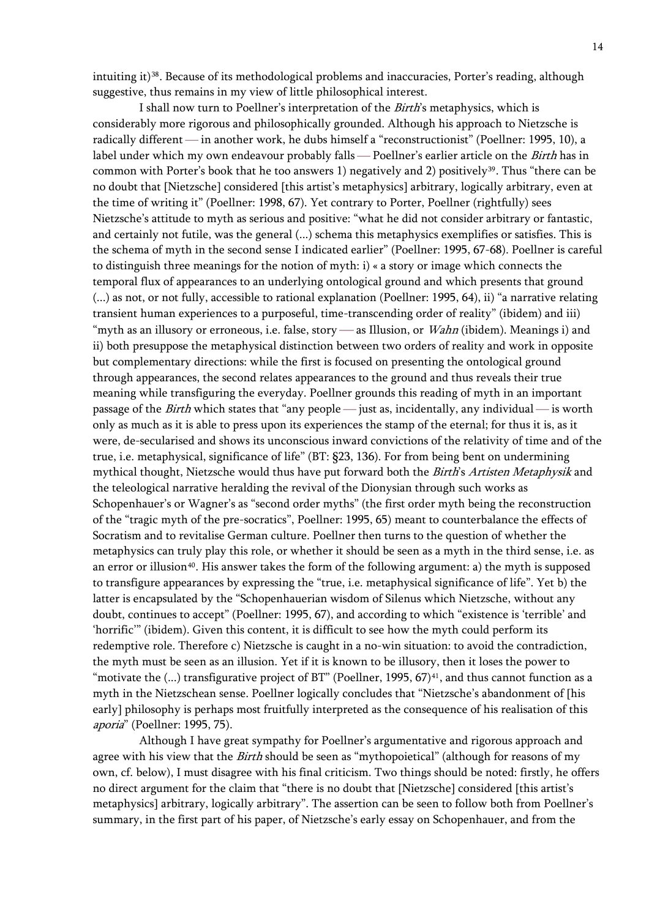intuiting it)<sup>[38](#page-23-1)</sup>. Because of its methodological problems and inaccuracies, Porter's reading, although suggestive, thus remains in my view of little philosophical interest.

 I shall now turn to Poellner's interpretation of the Birth's metaphysics, which is considerably more rigorous and philosophically grounded. Although his approach to Nietzsche is radically different — in another work, he dubs himself a "reconstructionist" (Poellner: 1995, 10), a label under which my own endeavour probably falls — Poellner's earlier article on the *Birth* has in common with Porter's book that he too answers 1) negatively and 2) positively<sup>[39](#page-23-1)</sup>. Thus "there can be no doubt that [Nietzsche] considered [this artist's metaphysics] arbitrary, logically arbitrary, even at the time of writing it" (Poellner: 1998, 67). Yet contrary to Porter, Poellner (rightfully) sees Nietzsche's attitude to myth as serious and positive: "what he did not consider arbitrary or fantastic, and certainly not futile, was the general (...) schema this metaphysics exemplifies or satisfies. This is the schema of myth in the second sense I indicated earlier" (Poellner: 1995, 67-68). Poellner is careful to distinguish three meanings for the notion of myth: i) « a story or image which connects the temporal flux of appearances to an underlying ontological ground and which presents that ground (...) as not, or not fully, accessible to rational explanation (Poellner: 1995, 64), ii) "a narrative relating transient human experiences to a purposeful, time-transcending order of reality" (ibidem) and iii) "myth as an illusory or erroneous, i.e. false, story — as Illusion, or  $Wahn$  (ibidem). Meanings i) and ii) both presuppose the metaphysical distinction between two orders of reality and work in opposite but complementary directions: while the first is focused on presenting the ontological ground through appearances, the second relates appearances to the ground and thus reveals their true meaning while transfiguring the everyday. Poellner grounds this reading of myth in an important passage of the *Birth* which states that "any people  $\frac{1}{1}$  just as, incidentally, any individual  $\frac{1}{1}$  is worth only as much as it is able to press upon its experiences the stamp of the eternal; for thus it is, as it were, de-secularised and shows its unconscious inward convictions of the relativity of time and of the true, i.e. metaphysical, significance of life" (BT: §23, 136). For from being bent on undermining mythical thought, Nietzsche would thus have put forward both the *Birth's Artisten Metaphysik* and the teleological narrative heralding the revival of the Dionysian through such works as Schopenhauer's or Wagner's as "second order myths" (the first order myth being the reconstruction of the "tragic myth of the pre-socratics", Poellner: 1995, 65) meant to counterbalance the effects of Socratism and to revitalise German culture. Poellner then turns to the question of whether the metaphysics can truly play this role, or whether it should be seen as a myth in the third sense, i.e. as an error or illusion<sup>[40](#page-23-1)</sup>. His answer takes the form of the following argument: a) the myth is supposed to transfigure appearances by expressing the "true, i.e. metaphysical significance of life". Yet b) the latter is encapsulated by the "Schopenhauerian wisdom of Silenus which Nietzsche, without any doubt, continues to accept" (Poellner: 1995, 67), and according to which "existence is 'terrible' and 'horrific'" (ibidem). Given this content, it is difficult to see how the myth could perform its redemptive role. Therefore c) Nietzsche is caught in a no-win situation: to avoid the contradiction, the myth must be seen as an illusion. Yet if it is known to be illusory, then it loses the power to "motivate the  $(...)$  transfigurative project of BT" (Poellner, 1995, 67)<sup>[41](#page-23-1)</sup>, and thus cannot function as a myth in the Nietzschean sense. Poellner logically concludes that "Nietzsche's abandonment of [his early] philosophy is perhaps most fruitfully interpreted as the consequence of his realisation of this aporia" (Poellner: 1995, 75).

 Although I have great sympathy for Poellner's argumentative and rigorous approach and agree with his view that the *Birth* should be seen as "mythopoietical" (although for reasons of my own, cf. below), I must disagree with his final criticism. Two things should be noted: firstly, he offers no direct argument for the claim that "there is no doubt that [Nietzsche] considered [this artist's metaphysics] arbitrary, logically arbitrary". The assertion can be seen to follow both from Poellner's summary, in the first part of his paper, of Nietzsche's early essay on Schopenhauer, and from the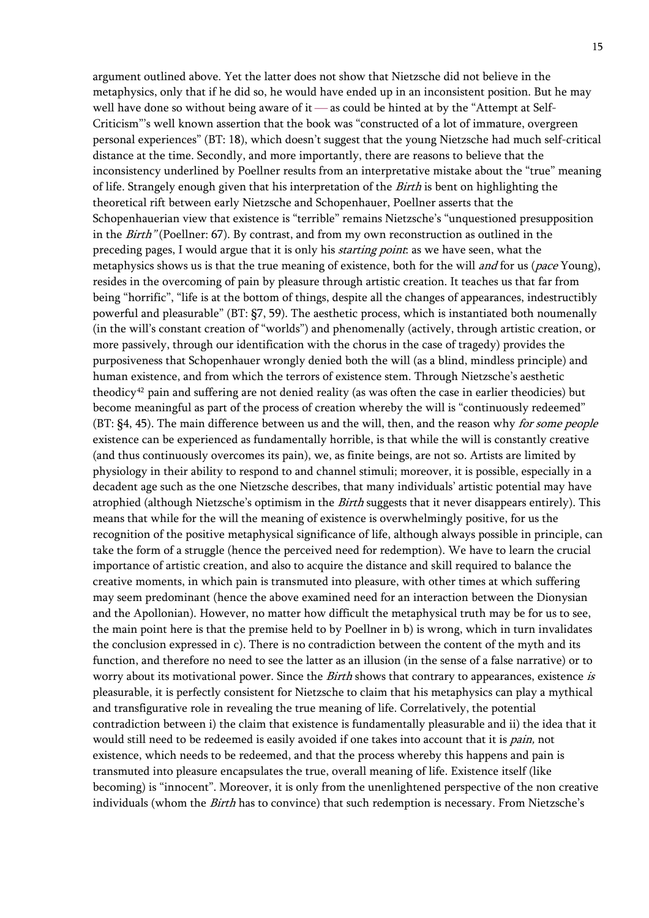argument outlined above. Yet the latter does not show that Nietzsche did not believe in the metaphysics, only that if he did so, he would have ended up in an inconsistent position. But he may well have done so without being aware of it  $-$  as could be hinted at by the "Attempt at Self-Criticism"'s well known assertion that the book was "constructed of a lot of immature, overgreen personal experiences" (BT: 18), which doesn't suggest that the young Nietzsche had much self-critical distance at the time. Secondly, and more importantly, there are reasons to believe that the inconsistency underlined by Poellner results from an interpretative mistake about the "true" meaning of life. Strangely enough given that his interpretation of the *Birth* is bent on highlighting the theoretical rift between early Nietzsche and Schopenhauer, Poellner asserts that the Schopenhauerian view that existence is "terrible" remains Nietzsche's "unquestioned presupposition in the Birth" (Poellner: 67). By contrast, and from my own reconstruction as outlined in the preceding pages, I would argue that it is only his *starting point*: as we have seen, what the metaphysics shows us is that the true meaning of existence, both for the will *and* for us (*pace* Young), resides in the overcoming of pain by pleasure through artistic creation. It teaches us that far from being "horrific", "life is at the bottom of things, despite all the changes of appearances, indestructibly powerful and pleasurable" (BT: §7, 59). The aesthetic process, which is instantiated both noumenally (in the will's constant creation of "worlds") and phenomenally (actively, through artistic creation, or more passively, through our identification with the chorus in the case of tragedy) provides the purposiveness that Schopenhauer wrongly denied both the will (as a blind, mindless principle) and human existence, and from which the terrors of existence stem. Through Nietzsche's aesthetic theodicy<sup>[42](#page-23-1)</sup> pain and suffering are not denied reality (as was often the case in earlier theodicies) but become meaningful as part of the process of creation whereby the will is "continuously redeemed" (BT: §4, 45). The main difference between us and the will, then, and the reason why for some people existence can be experienced as fundamentally horrible, is that while the will is constantly creative (and thus continuously overcomes its pain), we, as finite beings, are not so. Artists are limited by physiology in their ability to respond to and channel stimuli; moreover, it is possible, especially in a decadent age such as the one Nietzsche describes, that many individuals' artistic potential may have atrophied (although Nietzsche's optimism in the *Birth* suggests that it never disappears entirely). This means that while for the will the meaning of existence is overwhelmingly positive, for us the recognition of the positive metaphysical significance of life, although always possible in principle, can take the form of a struggle (hence the perceived need for redemption). We have to learn the crucial importance of artistic creation, and also to acquire the distance and skill required to balance the creative moments, in which pain is transmuted into pleasure, with other times at which suffering may seem predominant (hence the above examined need for an interaction between the Dionysian and the Apollonian). However, no matter how difficult the metaphysical truth may be for us to see, the main point here is that the premise held to by Poellner in b) is wrong, which in turn invalidates the conclusion expressed in c). There is no contradiction between the content of the myth and its function, and therefore no need to see the latter as an illusion (in the sense of a false narrative) or to worry about its motivational power. Since the *Birth* shows that contrary to appearances, existence is pleasurable, it is perfectly consistent for Nietzsche to claim that his metaphysics can play a mythical and transfigurative role in revealing the true meaning of life. Correlatively, the potential contradiction between i) the claim that existence is fundamentally pleasurable and ii) the idea that it would still need to be redeemed is easily avoided if one takes into account that it is *pain*, not existence, which needs to be redeemed, and that the process whereby this happens and pain is transmuted into pleasure encapsulates the true, overall meaning of life. Existence itself (like becoming) is "innocent". Moreover, it is only from the unenlightened perspective of the non creative individuals (whom the *Birth* has to convince) that such redemption is necessary. From Nietzsche's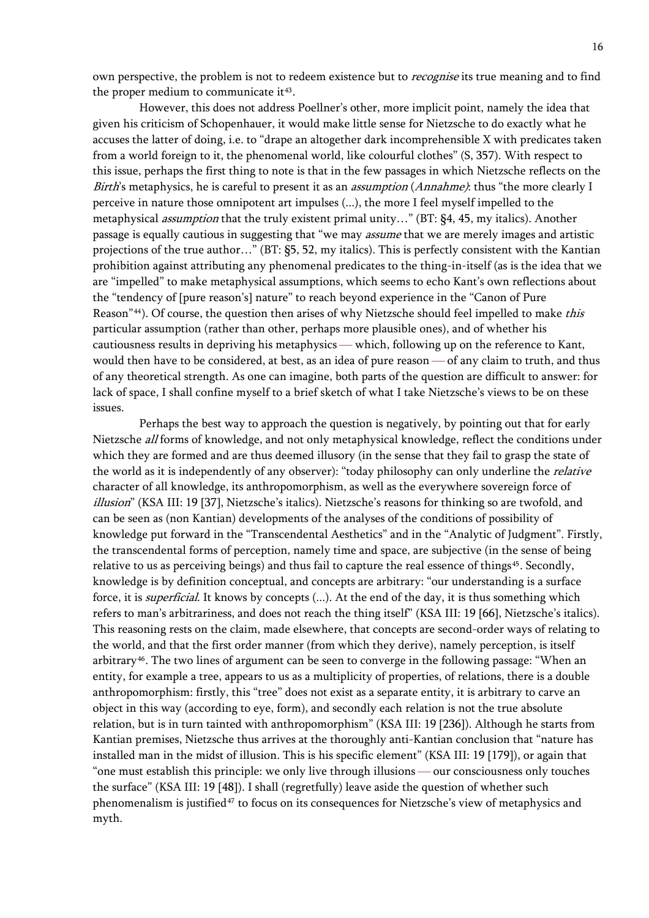own perspective, the problem is not to redeem existence but to *recognise* its true meaning and to find the proper medium to communicate it $43$ .

 However, this does not address Poellner's other, more implicit point, namely the idea that given his criticism of Schopenhauer, it would make little sense for Nietzsche to do exactly what he accuses the latter of doing, i.e. to "drape an altogether dark incomprehensible X with predicates taken from a world foreign to it, the phenomenal world, like colourful clothes" (S, 357). With respect to this issue, perhaps the first thing to note is that in the few passages in which Nietzsche reflects on the Birth's metaphysics, he is careful to present it as an *assumption* (*Annahme*): thus "the more clearly I perceive in nature those omnipotent art impulses (...), the more I feel myself impelled to the metaphysical assumption that the truly existent primal unity…" (BT: §4, 45, my italics). Another passage is equally cautious in suggesting that "we may assume that we are merely images and artistic projections of the true author…" (BT: §5, 52, my italics). This is perfectly consistent with the Kantian prohibition against attributing any phenomenal predicates to the thing-in-itself (as is the idea that we are "impelled" to make metaphysical assumptions, which seems to echo Kant's own reflections about the "tendency of [pure reason's] nature" to reach beyond experience in the "Canon of Pure Reason"<sup>[44](#page-23-1)</sup>). Of course, the question then arises of why Nietzsche should feel impelled to make this particular assumption (rather than other, perhaps more plausible ones), and of whether his cautiousness results in depriving his metaphysics — which, following up on the reference to Kant, would then have to be considered, at best, as an idea of pure reason — of any claim to truth, and thus of any theoretical strength. As one can imagine, both parts of the question are difficult to answer: for lack of space, I shall confine myself to a brief sketch of what I take Nietzsche's views to be on these issues.

 Perhaps the best way to approach the question is negatively, by pointing out that for early Nietzsche all forms of knowledge, and not only metaphysical knowledge, reflect the conditions under which they are formed and are thus deemed illusory (in the sense that they fail to grasp the state of the world as it is independently of any observer): "today philosophy can only underline the *relative* character of all knowledge, its anthropomorphism, as well as the everywhere sovereign force of illusion" (KSA III: 19 [37], Nietzsche's italics). Nietzsche's reasons for thinking so are twofold, and can be seen as (non Kantian) developments of the analyses of the conditions of possibility of knowledge put forward in the "Transcendental Aesthetics" and in the "Analytic of Judgment". Firstly, the transcendental forms of perception, namely time and space, are subjective (in the sense of being relative to us as perceiving beings) and thus fail to capture the real essence of things<sup>[45](#page-23-1)</sup>. Secondly, knowledge is by definition conceptual, and concepts are arbitrary: "our understanding is a surface force, it is *superficial*. It knows by concepts (...). At the end of the day, it is thus something which refers to man's arbitrariness, and does not reach the thing itself" (KSA III: 19 [66], Nietzsche's italics). This reasoning rests on the claim, made elsewhere, that concepts are second-order ways of relating to the world, and that the first order manner (from which they derive), namely perception, is itself arbitrary<sup>[46](#page-23-1)</sup>. The two lines of argument can be seen to converge in the following passage: "When an entity, for example a tree, appears to us as a multiplicity of properties, of relations, there is a double anthropomorphism: firstly, this "tree" does not exist as a separate entity, it is arbitrary to carve an object in this way (according to eye, form), and secondly each relation is not the true absolute relation, but is in turn tainted with anthropomorphism" (KSA III: 19 [236]). Although he starts from Kantian premises, Nietzsche thus arrives at the thoroughly anti-Kantian conclusion that "nature has installed man in the midst of illusion. This is his specific element" (KSA III: 19 [179]), or again that "one must establish this principle: we only live through illusions — our consciousness only touches the surface" (KSA III: 19 [48]). I shall (regretfully) leave aside the question of whether such phenomenalism is justified[47](#page-23-1) to focus on its consequences for Nietzsche's view of metaphysics and myth.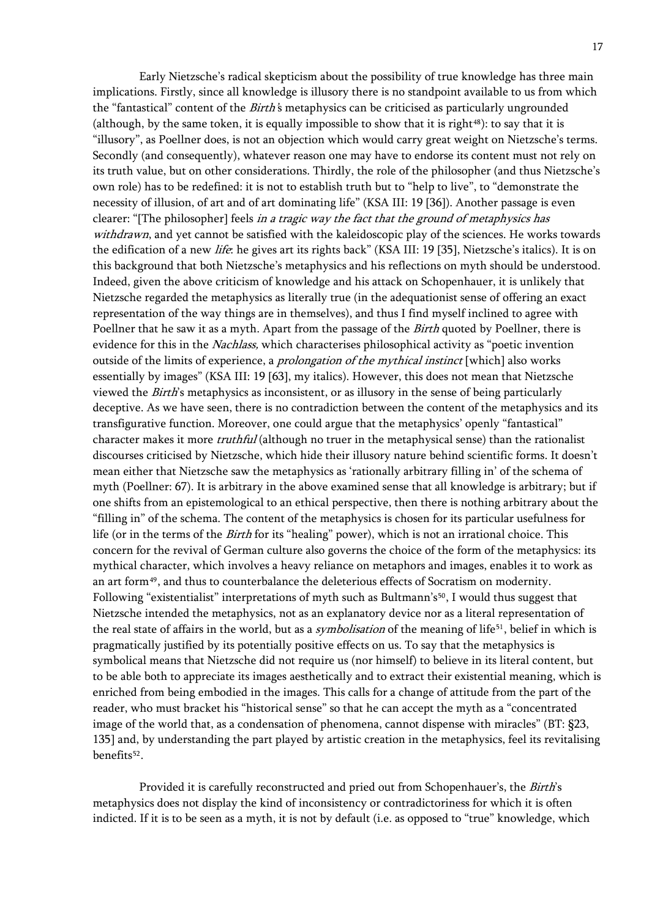Early Nietzsche's radical skepticism about the possibility of true knowledge has three main implications. Firstly, since all knowledge is illusory there is no standpoint available to us from which the "fantastical" content of the *Birth's* metaphysics can be criticised as particularly ungrounded (although, by the same token, it is equally impossible to show that it is right $48$ ): to say that it is "illusory", as Poellner does, is not an objection which would carry great weight on Nietzsche's terms. Secondly (and consequently), whatever reason one may have to endorse its content must not rely on its truth value, but on other considerations. Thirdly, the role of the philosopher (and thus Nietzsche's own role) has to be redefined: it is not to establish truth but to "help to live", to "demonstrate the necessity of illusion, of art and of art dominating life" (KSA III: 19 [36]). Another passage is even clearer: "[The philosopher] feels *in a tragic way the fact that the ground of metaphysics has* withdrawn, and yet cannot be satisfied with the kaleidoscopic play of the sciences. He works towards the edification of a new *life*: he gives art its rights back" (KSA III: 19 [35], Nietzsche's italics). It is on this background that both Nietzsche's metaphysics and his reflections on myth should be understood. Indeed, given the above criticism of knowledge and his attack on Schopenhauer, it is unlikely that Nietzsche regarded the metaphysics as literally true (in the adequationist sense of offering an exact representation of the way things are in themselves), and thus I find myself inclined to agree with Poellner that he saw it as a myth. Apart from the passage of the *Birth* quoted by Poellner, there is evidence for this in the *Nachlass*, which characterises philosophical activity as "poetic invention outside of the limits of experience, a *prolongation of the mythical instinct* [which] also works essentially by images" (KSA III: 19 [63], my italics). However, this does not mean that Nietzsche viewed the Birth's metaphysics as inconsistent, or as illusory in the sense of being particularly deceptive. As we have seen, there is no contradiction between the content of the metaphysics and its transfigurative function. Moreover, one could argue that the metaphysics' openly "fantastical" character makes it more *truthful* (although no truer in the metaphysical sense) than the rationalist discourses criticised by Nietzsche, which hide their illusory nature behind scientific forms. It doesn't mean either that Nietzsche saw the metaphysics as 'rationally arbitrary filling in' of the schema of myth (Poellner: 67). It is arbitrary in the above examined sense that all knowledge is arbitrary; but if one shifts from an epistemological to an ethical perspective, then there is nothing arbitrary about the "filling in" of the schema. The content of the metaphysics is chosen for its particular usefulness for life (or in the terms of the Birth for its "healing" power), which is not an irrational choice. This concern for the revival of German culture also governs the choice of the form of the metaphysics: its mythical character, which involves a heavy reliance on metaphors and images, enables it to work as an art form<sup>[49](#page-23-1)</sup>, and thus to counterbalance the deleterious effects of Socratism on modernity. Following "existentialist" interpretations of myth such as Bultmann's<sup>[50](#page-23-1)</sup>, I would thus suggest that Nietzsche intended the metaphysics, not as an explanatory device nor as a literal representation of the real state of affairs in the world, but as a *symbolisation* of the meaning of life<sup>[51](#page-23-1)</sup>, belief in which is pragmatically justified by its potentially positive effects on us. To say that the metaphysics is symbolical means that Nietzsche did not require us (nor himself) to believe in its literal content, but to be able both to appreciate its images aesthetically and to extract their existential meaning, which is enriched from being embodied in the images. This calls for a change of attitude from the part of the reader, who must bracket his "historical sense" so that he can accept the myth as a "concentrated image of the world that, as a condensation of phenomena, cannot dispense with miracles" (BT: §23, 135] and, by understanding the part played by artistic creation in the metaphysics, feel its revitalising benefits<sup>[52](#page-23-1)</sup>.

 Provided it is carefully reconstructed and pried out from Schopenhauer's, the Birth's metaphysics does not display the kind of inconsistency or contradictoriness for which it is often indicted. If it is to be seen as a myth, it is not by default (i.e. as opposed to "true" knowledge, which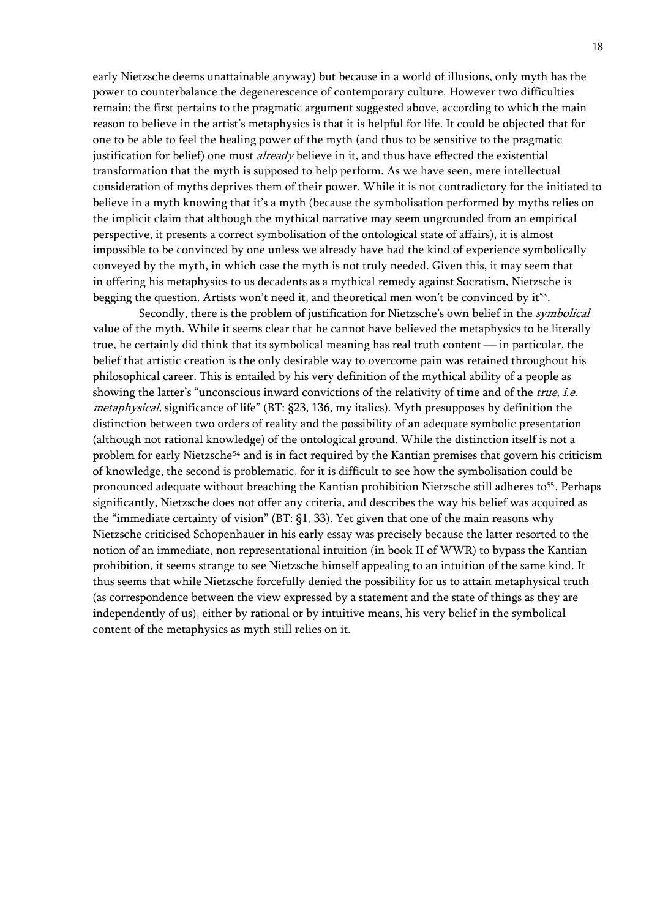early Nietzsche deems unattainable anyway) but because in a world of illusions, only myth has the power to counterbalance the degenerescence of contemporary culture. However two difficulties remain: the first pertains to the pragmatic argument suggested above, according to which the main reason to believe in the artist's metaphysics is that it is helpful for life. It could be objected that for one to be able to feel the healing power of the myth (and thus to be sensitive to the pragmatic justification for belief) one must *already* believe in it, and thus have effected the existential transformation that the myth is supposed to help perform. As we have seen, mere intellectual consideration of myths deprives them of their power. While it is not contradictory for the initiated to believe in a myth knowing that it's a myth (because the symbolisation performed by myths relies on the implicit claim that although the mythical narrative may seem ungrounded from an empirical perspective, it presents a correct symbolisation of the ontological state of affairs), it is almost impossible to be convinced by one unless we already have had the kind of experience symbolically conveyed by the myth, in which case the myth is not truly needed. Given this, it may seem that in offering his metaphysics to us decadents as a mythical remedy against Socratism, Nietzsche is begging the question. Artists won't need it, and theoretical men won't be convinced by it<sup>[53](#page-23-1)</sup>.

Secondly, there is the problem of justification for Nietzsche's own belief in the symbolical value of the myth. While it seems clear that he cannot have believed the metaphysics to be literally true, he certainly did think that its symbolical meaning has real truth content — in particular, the belief that artistic creation is the only desirable way to overcome pain was retained throughout his philosophical career. This is entailed by his very definition of the mythical ability of a people as showing the latter's "unconscious inward convictions of the relativity of time and of the *true*, *i.e.* metaphysical, significance of life" (BT: §23, 136, my italics). Myth presupposes by definition the distinction between two orders of reality and the possibility of an adequate symbolic presentation (although not rational knowledge) of the ontological ground. While the distinction itself is not a problem for early Nietzsche[54](#page-23-1) and is in fact required by the Kantian premises that govern his criticism of knowledge, the second is problematic, for it is difficult to see how the symbolisation could be pronounced adequate without breaching the Kantian prohibition Nietzsche still adheres to[55](#page-23-1). Perhaps significantly, Nietzsche does not offer any criteria, and describes the way his belief was acquired as the "immediate certainty of vision" (BT: §1, 33). Yet given that one of the main reasons why Nietzsche criticised Schopenhauer in his early essay was precisely because the latter resorted to the notion of an immediate, non representational intuition (in book II of WWR) to bypass the Kantian prohibition, it seems strange to see Nietzsche himself appealing to an intuition of the same kind. It thus seems that while Nietzsche forcefully denied the possibility for us to attain metaphysical truth (as correspondence between the view expressed by a statement and the state of things as they are independently of us), either by rational or by intuitive means, his very belief in the symbolical content of the metaphysics as myth still relies on it.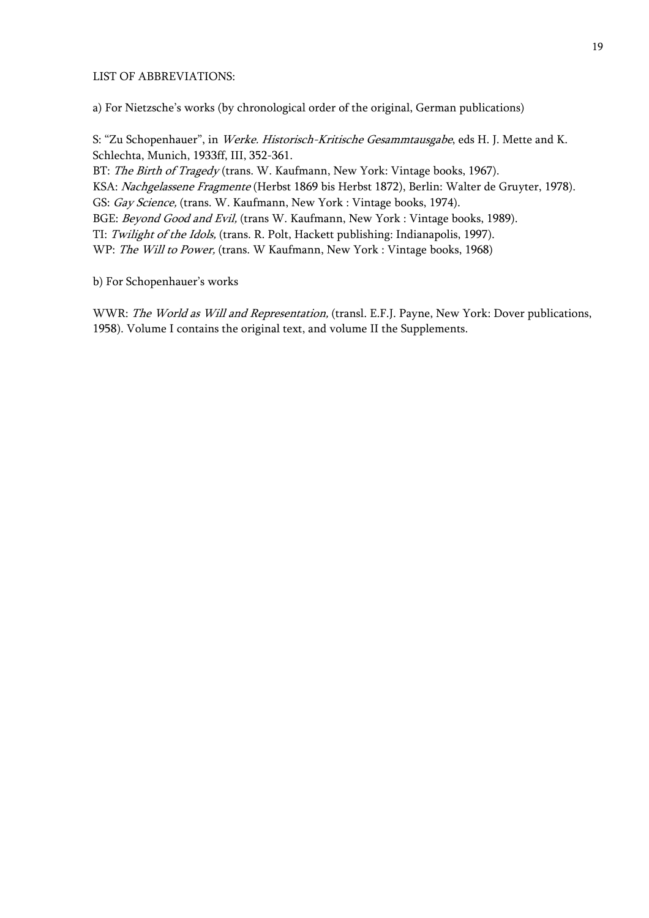## LIST OF ABBREVIATIONS:

a) For Nietzsche's works (by chronological order of the original, German publications)

S: "Zu Schopenhauer", in Werke. Historisch-Kritische Gesammtausgabe, eds H. J. Mette and K. Schlechta, Munich, 1933ff, III, 352-361. BT: The Birth of Tragedy (trans. W. Kaufmann, New York: Vintage books, 1967). KSA: Nachgelassene Fragmente (Herbst 1869 bis Herbst 1872), Berlin: Walter de Gruyter, 1978).

GS: Gay Science, (trans. W. Kaufmann, New York : Vintage books, 1974). BGE: Beyond Good and Evil, (trans W. Kaufmann, New York : Vintage books, 1989).

TI: Twilight of the Idols, (trans. R. Polt, Hackett publishing: Indianapolis, 1997).

WP: The Will to Power, (trans. W Kaufmann, New York : Vintage books, 1968)

b) For Schopenhauer's works

WWR: The World as Will and Representation, (transl. E.F.J. Payne, New York: Dover publications, 1958). Volume I contains the original text, and volume II the Supplements.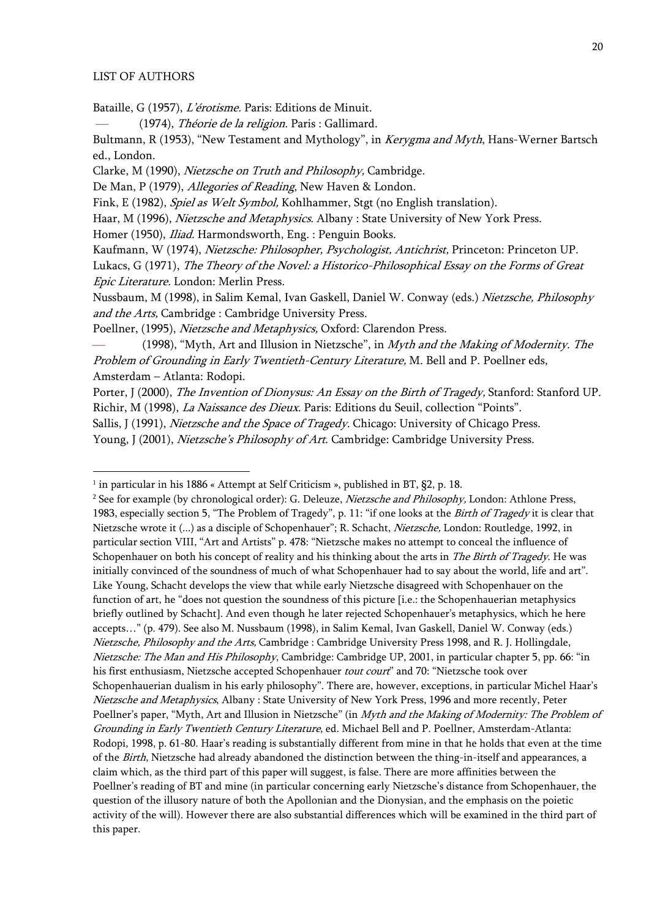## LIST OF AUTHORS

j

Bataille, G (1957), L'érotisme. Paris: Editions de Minuit.

(1974), Théorie de la religion. Paris : Gallimard.

Bultmann, R (1953), "New Testament and Mythology", in Kerygma and Myth, Hans-Werner Bartsch ed., London.

Clarke, M (1990), Nietzsche on Truth and Philosophy, Cambridge.

De Man, P (1979), *Allegories of Reading*, New Haven & London.

Fink, E (1982), Spiel as Welt Symbol, Kohlhammer, Stgt (no English translation).

Haar, M (1996), Nietzsche and Metaphysics. Albany : State University of New York Press.

Homer (1950), *Iliad.* Harmondsworth, Eng. : Penguin Books.

Kaufmann, W (1974), Nietzsche: Philosopher, Psychologist, Antichrist, Princeton: Princeton UP. Lukacs, G (1971), The Theory of the Novel: a Historico-Philosophical Essay on the Forms of Great Epic Literature. London: Merlin Press.

Nussbaum, M (1998), in Salim Kemal, Ivan Gaskell, Daniel W. Conway (eds.) Nietzsche, Philosophy and the Arts, Cambridge : Cambridge University Press.

Poellner, (1995), Nietzsche and Metaphysics, Oxford: Clarendon Press.

(1998), "Myth, Art and Illusion in Nietzsche", in *Myth and the Making of Modernity. The* Problem of Grounding in Early Twentieth-Century Literature, M. Bell and P. Poellner eds, Amsterdam – Atlanta: Rodopi.

Porter, J (2000), The Invention of Dionysus: An Essay on the Birth of Tragedy, Stanford: Stanford UP.

Richir, M (1998), La Naissance des Dieux. Paris: Editions du Seuil, collection "Points".

Sallis, J (1991), Nietzsche and the Space of Tragedy. Chicago: University of Chicago Press.

Young, J (2001), *Nietzsche's Philosophy of Art*. Cambridge: Cambridge University Press.

 $1$  in particular in his 1886 « Attempt at Self Criticism », published in BT,  $\S$ 2, p. 18.

<sup>&</sup>lt;sup>2</sup> See for example (by chronological order): G. Deleuze, *Nietzsche and Philosophy*, London: Athlone Press, 1983, especially section 5, "The Problem of Tragedy", p. 11: "if one looks at the *Birth of Tragedy* it is clear that Nietzsche wrote it (...) as a disciple of Schopenhauer"; R. Schacht, *Nietzsche*, London: Routledge, 1992, in particular section VIII, "Art and Artists" p. 478: "Nietzsche makes no attempt to conceal the influence of Schopenhauer on both his concept of reality and his thinking about the arts in *The Birth of Tragedy*. He was initially convinced of the soundness of much of what Schopenhauer had to say about the world, life and art". Like Young, Schacht develops the view that while early Nietzsche disagreed with Schopenhauer on the function of art, he "does not question the soundness of this picture [i.e.: the Schopenhauerian metaphysics briefly outlined by Schacht]. And even though he later rejected Schopenhauer's metaphysics, which he here accepts…" (p. 479). See also M. Nussbaum (1998), in Salim Kemal, Ivan Gaskell, Daniel W. Conway (eds.) Nietzsche, Philosophy and the Arts, Cambridge : Cambridge University Press 1998, and R. J. Hollingdale, Nietzsche: The Man and His Philosophy, Cambridge: Cambridge UP, 2001, in particular chapter 5, pp. 66: "in his first enthusiasm, Nietzsche accepted Schopenhauer tout court" and 70: "Nietzsche took over Schopenhauerian dualism in his early philosophy". There are, however, exceptions, in particular Michel Haar's Nietzsche and Metaphysics, Albany : State University of New York Press, 1996 and more recently, Peter Poellner's paper, "Myth, Art and Illusion in Nietzsche" (in *Myth and the Making of Modernity: The Problem of* Grounding in Early Twentieth Century Literature, ed. Michael Bell and P. Poellner, Amsterdam-Atlanta: Rodopi, 1998, p. 61-80. Haar's reading is substantially different from mine in that he holds that even at the time of the Birth, Nietzsche had already abandoned the distinction between the thing-in-itself and appearances, a claim which, as the third part of this paper will suggest, is false. There are more affinities between the Poellner's reading of BT and mine (in particular concerning early Nietzsche's distance from Schopenhauer, the question of the illusory nature of both the Apollonian and the Dionysian, and the emphasis on the poietic activity of the will). However there are also substantial differences which will be examined in the third part of this paper.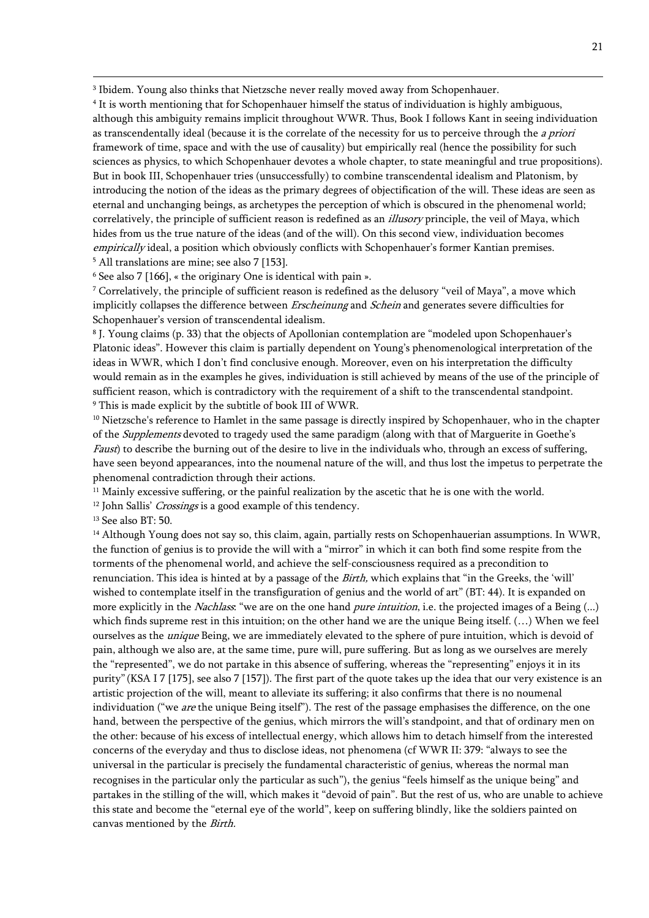3 Ibidem. Young also thinks that Nietzsche never really moved away from Schopenhauer.

4 It is worth mentioning that for Schopenhauer himself the status of individuation is highly ambiguous, although this ambiguity remains implicit throughout WWR. Thus, Book I follows Kant in seeing individuation as transcendentally ideal (because it is the correlate of the necessity for us to perceive through the a priori framework of time, space and with the use of causality) but empirically real (hence the possibility for such sciences as physics, to which Schopenhauer devotes a whole chapter, to state meaningful and true propositions). But in book III, Schopenhauer tries (unsuccessfully) to combine transcendental idealism and Platonism, by introducing the notion of the ideas as the primary degrees of objectification of the will. These ideas are seen as eternal and unchanging beings, as archetypes the perception of which is obscured in the phenomenal world; correlatively, the principle of sufficient reason is redefined as an *illusory* principle, the veil of Maya, which hides from us the true nature of the ideas (and of the will). On this second view, individuation becomes empirically ideal, a position which obviously conflicts with Schopenhauer's former Kantian premises. 5 All translations are mine; see also 7 [153].

6 See also 7 [166], « the originary One is identical with pain ».

7 Correlatively, the principle of sufficient reason is redefined as the delusory "veil of Maya", a move which implicitly collapses the difference between *Erscheinung* and *Schein* and generates severe difficulties for Schopenhauer's version of transcendental idealism.

8 J. Young claims (p. 33) that the objects of Apollonian contemplation are "modeled upon Schopenhauer's Platonic ideas". However this claim is partially dependent on Young's phenomenological interpretation of the ideas in WWR, which I don't find conclusive enough. Moreover, even on his interpretation the difficulty would remain as in the examples he gives, individuation is still achieved by means of the use of the principle of sufficient reason, which is contradictory with the requirement of a shift to the transcendental standpoint. 9 This is made explicit by the subtitle of book III of WWR.

 $10$  Nietzsche's reference to Hamlet in the same passage is directly inspired by Schopenhauer, who in the chapter of the *Supplements* devoted to tragedy used the same paradigm (along with that of Marguerite in Goethe's Faust) to describe the burning out of the desire to live in the individuals who, through an excess of suffering, have seen beyond appearances, into the noumenal nature of the will, and thus lost the impetus to perpetrate the phenomenal contradiction through their actions.

 $11$  Mainly excessive suffering, or the painful realization by the ascetic that he is one with the world.

<sup>12</sup> John Sallis' *Crossings* is a good example of this tendency.

13 See also BT: 50.

-

14 Although Young does not say so, this claim, again, partially rests on Schopenhauerian assumptions. In WWR, the function of genius is to provide the will with a "mirror" in which it can both find some respite from the torments of the phenomenal world, and achieve the self-consciousness required as a precondition to renunciation. This idea is hinted at by a passage of the *Birth*, which explains that "in the Greeks, the 'will' wished to contemplate itself in the transfiguration of genius and the world of art" (BT: 44). It is expanded on more explicitly in the *Nachlass*: "we are on the one hand *pure intuition*, i.e. the projected images of a Being (...) which finds supreme rest in this intuition; on the other hand we are the unique Being itself. (…) When we feel ourselves as the *unique* Being, we are immediately elevated to the sphere of pure intuition, which is devoid of pain, although we also are, at the same time, pure will, pure suffering. But as long as we ourselves are merely the "represented", we do not partake in this absence of suffering, whereas the "representing" enjoys it in its purity"(KSA I 7 [175], see also 7 [157]). The first part of the quote takes up the idea that our very existence is an artistic projection of the will, meant to alleviate its suffering; it also confirms that there is no noumenal individuation ("we are the unique Being itself"). The rest of the passage emphasises the difference, on the one hand, between the perspective of the genius, which mirrors the will's standpoint, and that of ordinary men on the other: because of his excess of intellectual energy, which allows him to detach himself from the interested concerns of the everyday and thus to disclose ideas, not phenomena (cf WWR II: 379: "always to see the universal in the particular is precisely the fundamental characteristic of genius, whereas the normal man recognises in the particular only the particular as such"), the genius "feels himself as the unique being" and partakes in the stilling of the will, which makes it "devoid of pain". But the rest of us, who are unable to achieve this state and become the "eternal eye of the world", keep on suffering blindly, like the soldiers painted on canvas mentioned by the Birth.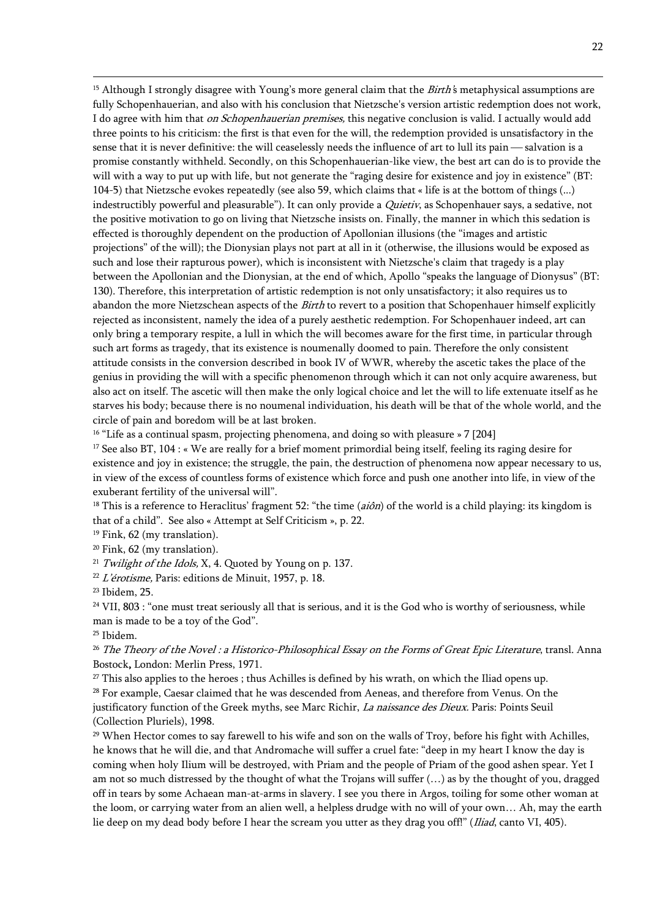<sup>15</sup> Although I strongly disagree with Young's more general claim that the *Birth's* metaphysical assumptions are fully Schopenhauerian, and also with his conclusion that Nietzsche's version artistic redemption does not work, I do agree with him that *on Schopenhauerian premises*, this negative conclusion is valid. I actually would add three points to his criticism: the first is that even for the will, the redemption provided is unsatisfactory in the sense that it is never definitive: the will ceaselessly needs the influence of art to lull its pain — salvation is a promise constantly withheld. Secondly, on this Schopenhauerian-like view, the best art can do is to provide the will with a way to put up with life, but not generate the "raging desire for existence and joy in existence" (BT: 104-5) that Nietzsche evokes repeatedly (see also 59, which claims that « life is at the bottom of things (...) indestructibly powerful and pleasurable"). It can only provide a *Quietiv*, as Schopenhauer says, a sedative, not the positive motivation to go on living that Nietzsche insists on. Finally, the manner in which this sedation is effected is thoroughly dependent on the production of Apollonian illusions (the "images and artistic projections" of the will); the Dionysian plays not part at all in it (otherwise, the illusions would be exposed as such and lose their rapturous power), which is inconsistent with Nietzsche's claim that tragedy is a play between the Apollonian and the Dionysian, at the end of which, Apollo "speaks the language of Dionysus" (BT: 130). Therefore, this interpretation of artistic redemption is not only unsatisfactory; it also requires us to abandon the more Nietzschean aspects of the *Birth* to revert to a position that Schopenhauer himself explicitly rejected as inconsistent, namely the idea of a purely aesthetic redemption. For Schopenhauer indeed, art can only bring a temporary respite, a lull in which the will becomes aware for the first time, in particular through such art forms as tragedy, that its existence is noumenally doomed to pain. Therefore the only consistent attitude consists in the conversion described in book IV of WWR, whereby the ascetic takes the place of the genius in providing the will with a specific phenomenon through which it can not only acquire awareness, but also act on itself. The ascetic will then make the only logical choice and let the will to life extenuate itself as he starves his body; because there is no noumenal individuation, his death will be that of the whole world, and the circle of pain and boredom will be at last broken.

16 "Life as a continual spasm, projecting phenomena, and doing so with pleasure » 7 [204]

<sup>17</sup> See also BT, 104 : « We are really for a brief moment primordial being itself, feeling its raging desire for existence and joy in existence; the struggle, the pain, the destruction of phenomena now appear necessary to us, in view of the excess of countless forms of existence which force and push one another into life, in view of the exuberant fertility of the universal will".

<sup>18</sup> This is a reference to Heraclitus' fragment 52: "the time ( $ai\hat{o}n$ ) of the world is a child playing: its kingdom is that of a child". See also « Attempt at Self Criticism », p. 22.

19 Fink, 62 (my translation).

20 Fink, 62 (my translation).

<sup>21</sup> Twilight of the Idols, X, 4. Quoted by Young on p. 137.

<sup>22</sup> L'érotisme, Paris: editions de Minuit, 1957, p. 18.

23 Ibidem, 25.

<sup>24</sup> VII, 803 : "one must treat seriously all that is serious, and it is the God who is worthy of seriousness, while man is made to be a toy of the God".

25 Ibidem.

-

<sup>26</sup> The Theory of the Novel : a Historico-Philosophical Essay on the Forms of Great Epic Literature, transl. Anna Bostock, London: Merlin Press, 1971.

 $27$  This also applies to the heroes; thus Achilles is defined by his wrath, on which the Iliad opens up. <sup>28</sup> For example, Caesar claimed that he was descended from Aeneas, and therefore from Venus. On the justificatory function of the Greek myths, see Marc Richir, *La naissance des Dieux*. Paris: Points Seuil (Collection Pluriels), 1998.

<sup>29</sup> When Hector comes to say farewell to his wife and son on the walls of Troy, before his fight with Achilles, he knows that he will die, and that Andromache will suffer a cruel fate: "deep in my heart I know the day is coming when holy Ilium will be destroyed, with Priam and the people of Priam of the good ashen spear. Yet I am not so much distressed by the thought of what the Trojans will suffer (…) as by the thought of you, dragged off in tears by some Achaean man-at-arms in slavery. I see you there in Argos, toiling for some other woman at the loom, or carrying water from an alien well, a helpless drudge with no will of your own… Ah, may the earth lie deep on my dead body before I hear the scream you utter as they drag you off!" (*Iliad*, canto VI, 405).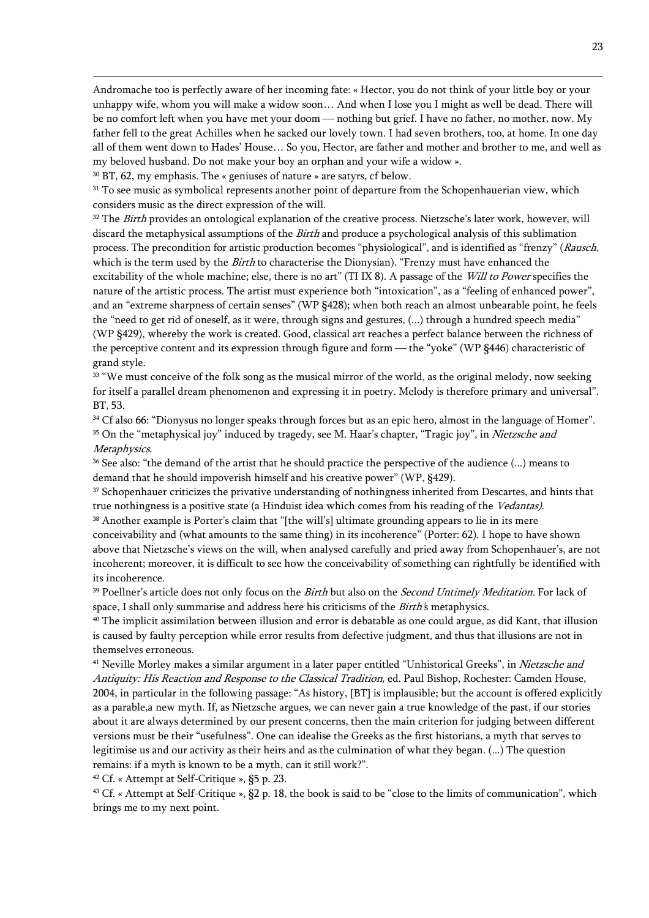Andromache too is perfectly aware of her incoming fate: « Hector, you do not think of your little boy or your unhappy wife, whom you will make a widow soon… And when I lose you I might as well be dead. There will be no comfort left when you have met your doom — nothing but grief. I have no father, no mother, now. My father fell to the great Achilles when he sacked our lovely town. I had seven brothers, too, at home. In one day all of them went down to Hades' House… So you, Hector, are father and mother and brother to me, and well as my beloved husband. Do not make your boy an orphan and your wife a widow ».

30 BT, 62, my emphasis. The « geniuses of nature » are satyrs, cf below.

-

<sup>31</sup> To see music as symbolical represents another point of departure from the Schopenhauerian view, which considers music as the direct expression of the will.

<sup>32</sup> The *Birth* provides an ontological explanation of the creative process. Nietzsche's later work, however, will discard the metaphysical assumptions of the *Birth* and produce a psychological analysis of this sublimation process. The precondition for artistic production becomes "physiological", and is identified as "frenzy" (Rausch, which is the term used by the *Birth* to characterise the Dionysian). "Frenzy must have enhanced the excitability of the whole machine; else, there is no art" (TI IX 8). A passage of the Will to Power specifies the nature of the artistic process. The artist must experience both "intoxication", as a "feeling of enhanced power", and an "extreme sharpness of certain senses" (WP §428); when both reach an almost unbearable point, he feels the "need to get rid of oneself, as it were, through signs and gestures, (...) through a hundred speech media" (WP §429), whereby the work is created. Good, classical art reaches a perfect balance between the richness of the perceptive content and its expression through figure and form — the "yoke" (WP §446) characteristic of grand style.

<sup>33</sup> "We must conceive of the folk song as the musical mirror of the world, as the original melody, now seeking for itself a parallel dream phenomenon and expressing it in poetry. Melody is therefore primary and universal". BT, 53.

<sup>34</sup> Cf also 66: "Dionysus no longer speaks through forces but as an epic hero, almost in the language of Homer". <sup>35</sup> On the "metaphysical joy" induced by tragedy, see M. Haar's chapter, "Tragic joy", in Nietzsche and Metaphysics.

36 See also: "the demand of the artist that he should practice the perspective of the audience (...) means to demand that he should impoverish himself and his creative power" (WP, §429).

<sup>37</sup> Schopenhauer criticizes the privative understanding of nothingness inherited from Descartes, and hints that true nothingness is a positive state (a Hinduist idea which comes from his reading of the Vedantas).

38 Another example is Porter's claim that "[the will's] ultimate grounding appears to lie in its mere conceivability and (what amounts to the same thing) in its incoherence" (Porter: 62). I hope to have shown above that Nietzsche's views on the will, when analysed carefully and pried away from Schopenhauer's, are not incoherent; moreover, it is difficult to see how the conceivability of something can rightfully be identified with its incoherence.

<sup>39</sup> Poellner's article does not only focus on the *Birth* but also on the *Second Untimely Meditation*. For lack of space, I shall only summarise and address here his criticisms of the Birth's metaphysics.

40 The implicit assimilation between illusion and error is debatable as one could argue, as did Kant, that illusion is caused by faulty perception while error results from defective judgment, and thus that illusions are not in themselves erroneous.

<sup>41</sup> Neville Morley makes a similar argument in a later paper entitled "Unhistorical Greeks", in Nietzsche and Antiquity: His Reaction and Response to the Classical Tradition, ed. Paul Bishop, Rochester: Camden House, 2004, in particular in the following passage: "As history, [BT] is implausible; but the account is offered explicitly as a parable,a new myth. If, as Nietzsche argues, we can never gain a true knowledge of the past, if our stories about it are always determined by our present concerns, then the main criterion for judging between different versions must be their "usefulness". One can idealise the Greeks as the first historians, a myth that serves to legitimise us and our activity as their heirs and as the culmination of what they began. (...) The question remains: if a myth is known to be a myth, can it still work?".

42 Cf. « Attempt at Self-Critique », §5 p. 23.

43 Cf. « Attempt at Self-Critique », §2 p. 18, the book is said to be "close to the limits of communication", which brings me to my next point.